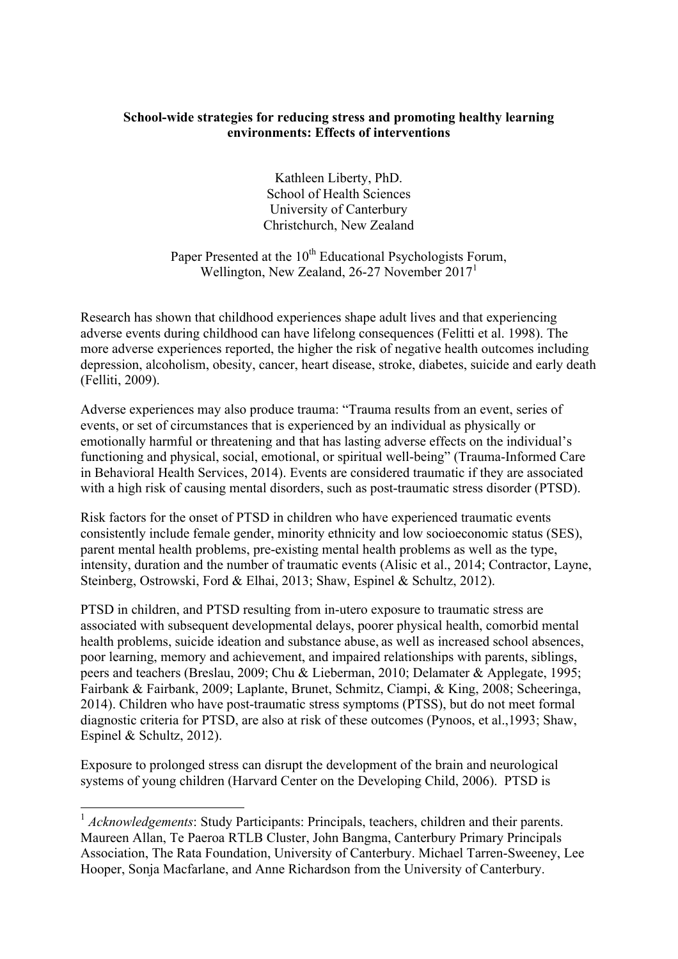### **School-wide strategies for reducing stress and promoting healthy learning environments: Effects of interventions**

Kathleen Liberty, PhD. School of Health Sciences University of Canterbury Christchurch, New Zealand

Paper Presented at the  $10^{th}$  Educational Psychologists Forum, Wellington, New Zealand, 26-27 November 2017<sup>1</sup>

Research has shown that childhood experiences shape adult lives and that experiencing adverse events during childhood can have lifelong consequences (Felitti et al. 1998). The more adverse experiences reported, the higher the risk of negative health outcomes including depression, alcoholism, obesity, cancer, heart disease, stroke, diabetes, suicide and early death (Felliti, 2009).

Adverse experiences may also produce trauma: "Trauma results from an event, series of events, or set of circumstances that is experienced by an individual as physically or emotionally harmful or threatening and that has lasting adverse effects on the individual's functioning and physical, social, emotional, or spiritual well-being" (Trauma-Informed Care in Behavioral Health Services, 2014). Events are considered traumatic if they are associated with a high risk of causing mental disorders, such as post-traumatic stress disorder (PTSD).

Risk factors for the onset of PTSD in children who have experienced traumatic events consistently include female gender, minority ethnicity and low socioeconomic status (SES), parent mental health problems, pre-existing mental health problems as well as the type, intensity, duration and the number of traumatic events (Alisic et al., 2014; Contractor, Layne, Steinberg, Ostrowski, Ford & Elhai, 2013; Shaw, Espinel & Schultz, 2012).

PTSD in children, and PTSD resulting from in-utero exposure to traumatic stress are associated with subsequent developmental delays, poorer physical health, comorbid mental health problems, suicide ideation and substance abuse, as well as increased school absences, poor learning, memory and achievement, and impaired relationships with parents, siblings, peers and teachers (Breslau, 2009; Chu & Lieberman, 2010; Delamater & Applegate, 1995; Fairbank & Fairbank, 2009; Laplante, Brunet, Schmitz, Ciampi, & King, 2008; Scheeringa, 2014). Children who have post-traumatic stress symptoms (PTSS), but do not meet formal diagnostic criteria for PTSD, are also at risk of these outcomes (Pynoos, et al.,1993; Shaw, Espinel & Schultz, 2012).

Exposure to prolonged stress can disrupt the development of the brain and neurological systems of young children (Harvard Center on the Developing Child, 2006). PTSD is

<sup>&</sup>lt;sup>1</sup> *Acknowledgements*: Study Participants: Principals, teachers, children and their parents. Maureen Allan, Te Paeroa RTLB Cluster, John Bangma, Canterbury Primary Principals Association, The Rata Foundation, University of Canterbury. Michael Tarren-Sweeney, Lee Hooper, Sonja Macfarlane, and Anne Richardson from the University of Canterbury.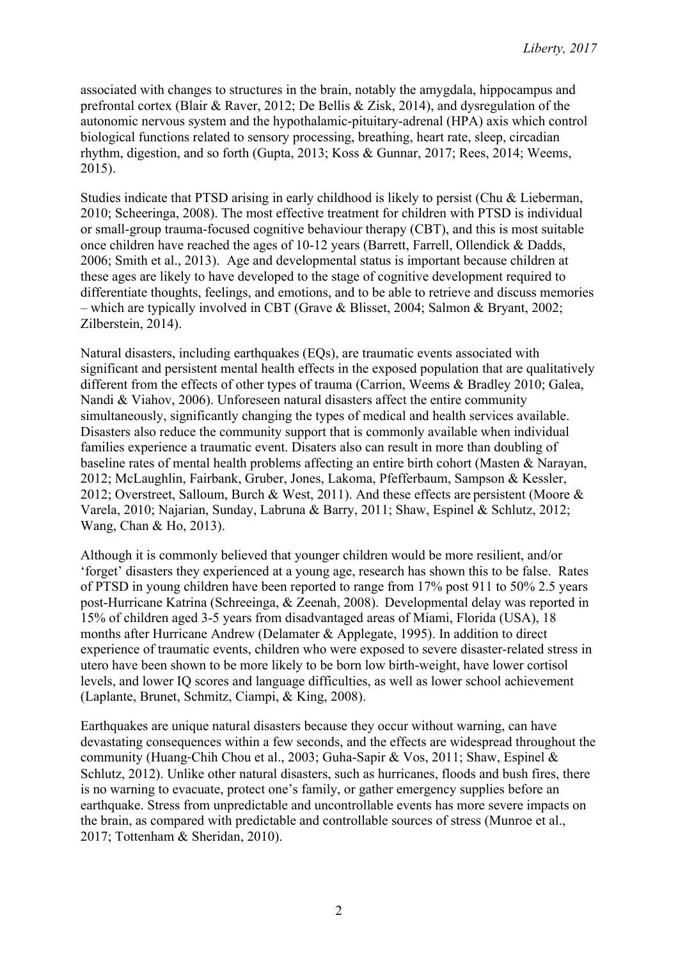associated with changes to structures in the brain, notably the amygdala, hippocampus and prefrontal cortex (Blair & Raver, 2012; De Bellis & Zisk, 2014), and dysregulation of the autonomic nervous system and the hypothalamic-pituitary-adrenal (HPA) axis which control biological functions related to sensory processing, breathing, heart rate, sleep, circadian rhythm, digestion, and so forth (Gupta, 2013; Koss & Gunnar, 2017; Rees, 2014; Weems, 2015).

Studies indicate that PTSD arising in early childhood is likely to persist (Chu & Lieberman, 2010; Scheeringa, 2008). The most effective treatment for children with PTSD is individual or small-group trauma-focused cognitive behaviour therapy (CBT), and this is most suitable once children have reached the ages of 10-12 years (Barrett, Farrell, Ollendick & Dadds, 2006; Smith et al., 2013). Age and developmental status is important because children at these ages are likely to have developed to the stage of cognitive development required to differentiate thoughts, feelings, and emotions, and to be able to retrieve and discuss memories – which are typically involved in CBT (Grave & Blisset, 2004; Salmon & Bryant, 2002; Zilberstein, 2014).

Natural disasters, including earthquakes (EQs), are traumatic events associated with significant and persistent mental health effects in the exposed population that are qualitatively different from the effects of other types of trauma (Carrion, Weems & Bradley 2010; Galea, Nandi & Viahov, 2006). Unforeseen natural disasters affect the entire community simultaneously, significantly changing the types of medical and health services available. Disasters also reduce the community support that is commonly available when individual families experience a traumatic event. Disaters also can result in more than doubling of baseline rates of mental health problems affecting an entire birth cohort (Masten & Narayan, 2012; McLaughlin, Fairbank, Gruber, Jones, Lakoma, Pfefferbaum, Sampson & Kessler, 2012; Overstreet, Salloum, Burch & West, 2011). And these effects are persistent (Moore & Varela, 2010; Najarian, Sunday, Labruna & Barry, 2011; Shaw, Espinel & Schlutz, 2012; Wang, Chan & Ho, 2013).

Although it is commonly believed that younger children would be more resilient, and/or 'forget' disasters they experienced at a young age, research has shown this to be false. Rates of PTSD in young children have been reported to range from 17% post 911 to 50% 2.5 years post-Hurricane Katrina (Schreeinga, & Zeenah, 2008). Developmental delay was reported in 15% of children aged 3-5 years from disadvantaged areas of Miami, Florida (USA), 18 months after Hurricane Andrew (Delamater & Applegate, 1995). In addition to direct experience of traumatic events, children who were exposed to severe disaster-related stress in utero have been shown to be more likely to be born low birth-weight, have lower cortisol levels, and lower IQ scores and language difficulties, as well as lower school achievement (Laplante, Brunet, Schmitz, Ciampi, & King, 2008).

Earthquakes are unique natural disasters because they occur without warning, can have devastating consequences within a few seconds, and the effects are widespread throughout the community (Huang‐Chih Chou et al., 2003; Guha-Sapir & Vos, 2011; Shaw, Espinel & Schlutz, 2012). Unlike other natural disasters, such as hurricanes, floods and bush fires, there is no warning to evacuate, protect one's family, or gather emergency supplies before an earthquake. Stress from unpredictable and uncontrollable events has more severe impacts on the brain, as compared with predictable and controllable sources of stress (Munroe et al., 2017; Tottenham & Sheridan, 2010).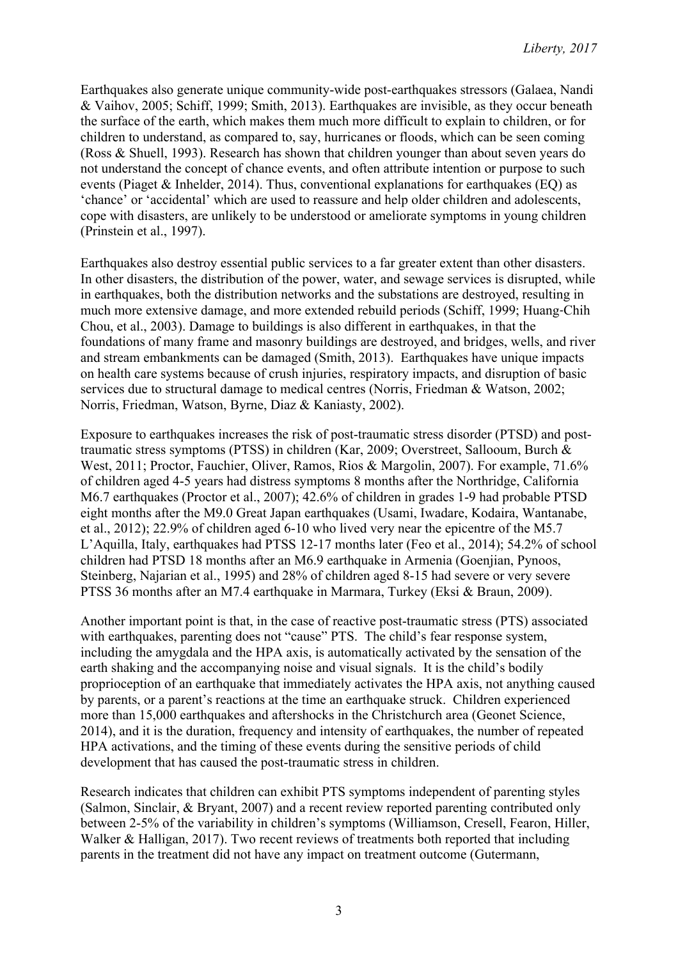Earthquakes also generate unique community-wide post-earthquakes stressors (Galaea, Nandi & Vaihov, 2005; Schiff, 1999; Smith, 2013). Earthquakes are invisible, as they occur beneath the surface of the earth, which makes them much more difficult to explain to children, or for children to understand, as compared to, say, hurricanes or floods, which can be seen coming (Ross & Shuell, 1993). Research has shown that children younger than about seven years do not understand the concept of chance events, and often attribute intention or purpose to such events (Piaget & Inhelder, 2014). Thus, conventional explanations for earthquakes (EQ) as 'chance' or 'accidental' which are used to reassure and help older children and adolescents, cope with disasters, are unlikely to be understood or ameliorate symptoms in young children (Prinstein et al., 1997).

Earthquakes also destroy essential public services to a far greater extent than other disasters. In other disasters, the distribution of the power, water, and sewage services is disrupted, while in earthquakes, both the distribution networks and the substations are destroyed, resulting in much more extensive damage, and more extended rebuild periods (Schiff, 1999; Huang‐Chih Chou, et al., 2003). Damage to buildings is also different in earthquakes, in that the foundations of many frame and masonry buildings are destroyed, and bridges, wells, and river and stream embankments can be damaged (Smith, 2013). Earthquakes have unique impacts on health care systems because of crush injuries, respiratory impacts, and disruption of basic services due to structural damage to medical centres (Norris, Friedman & Watson, 2002; Norris, Friedman, Watson, Byrne, Diaz & Kaniasty, 2002).

Exposure to earthquakes increases the risk of post-traumatic stress disorder (PTSD) and posttraumatic stress symptoms (PTSS) in children (Kar, 2009; Overstreet, Sallooum, Burch & West, 2011; Proctor, Fauchier, Oliver, Ramos, Rios & Margolin, 2007). For example, 71.6% of children aged 4-5 years had distress symptoms 8 months after the Northridge, California M6.7 earthquakes (Proctor et al., 2007); 42.6% of children in grades 1-9 had probable PTSD eight months after the M9.0 Great Japan earthquakes (Usami, Iwadare, Kodaira, Wantanabe, et al., 2012); 22.9% of children aged 6-10 who lived very near the epicentre of the M5.7 L'Aquilla, Italy, earthquakes had PTSS 12-17 months later (Feo et al., 2014); 54.2% of school children had PTSD 18 months after an M6.9 earthquake in Armenia (Goenjian, Pynoos, Steinberg, Najarian et al., 1995) and 28% of children aged 8-15 had severe or very severe PTSS 36 months after an M7.4 earthquake in Marmara, Turkey (Eksi & Braun, 2009).

Another important point is that, in the case of reactive post-traumatic stress (PTS) associated with earthquakes, parenting does not "cause" PTS. The child's fear response system, including the amygdala and the HPA axis, is automatically activated by the sensation of the earth shaking and the accompanying noise and visual signals. It is the child's bodily proprioception of an earthquake that immediately activates the HPA axis, not anything caused by parents, or a parent's reactions at the time an earthquake struck. Children experienced more than 15,000 earthquakes and aftershocks in the Christchurch area (Geonet Science, 2014), and it is the duration, frequency and intensity of earthquakes, the number of repeated HPA activations, and the timing of these events during the sensitive periods of child development that has caused the post-traumatic stress in children.

Research indicates that children can exhibit PTS symptoms independent of parenting styles (Salmon, Sinclair, & Bryant, 2007) and a recent review reported parenting contributed only between 2-5% of the variability in children's symptoms (Williamson, Cresell, Fearon, Hiller, Walker & Halligan, 2017). Two recent reviews of treatments both reported that including parents in the treatment did not have any impact on treatment outcome (Gutermann,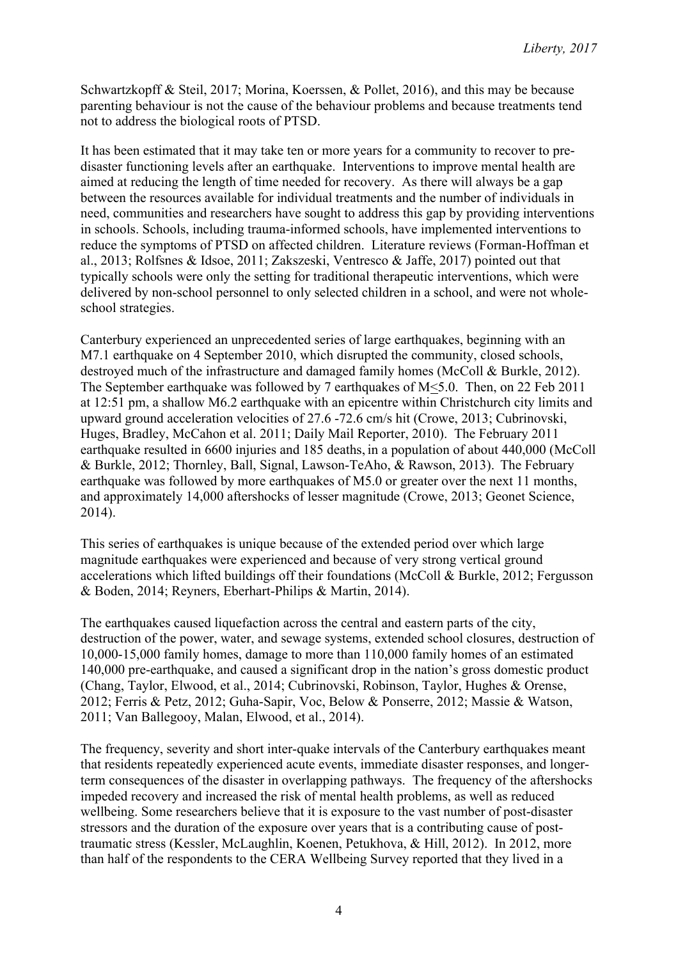Schwartzkopff & Steil, 2017; Morina, Koerssen, & Pollet, 2016), and this may be because parenting behaviour is not the cause of the behaviour problems and because treatments tend not to address the biological roots of PTSD.

It has been estimated that it may take ten or more years for a community to recover to predisaster functioning levels after an earthquake. Interventions to improve mental health are aimed at reducing the length of time needed for recovery. As there will always be a gap between the resources available for individual treatments and the number of individuals in need, communities and researchers have sought to address this gap by providing interventions in schools. Schools, including trauma-informed schools, have implemented interventions to reduce the symptoms of PTSD on affected children. Literature reviews (Forman-Hoffman et al., 2013; Rolfsnes & Idsoe, 2011; Zakszeski, Ventresco & Jaffe, 2017) pointed out that typically schools were only the setting for traditional therapeutic interventions, which were delivered by non-school personnel to only selected children in a school, and were not wholeschool strategies.

Canterbury experienced an unprecedented series of large earthquakes, beginning with an M7.1 earthquake on 4 September 2010, which disrupted the community, closed schools, destroyed much of the infrastructure and damaged family homes (McColl & Burkle, 2012). The September earthquake was followed by 7 earthquakes of M<5.0. Then, on 22 Feb 2011 at 12:51 pm, a shallow M6.2 earthquake with an epicentre within Christchurch city limits and upward ground acceleration velocities of 27.6 -72.6 cm/s hit (Crowe, 2013; Cubrinovski, Huges, Bradley, McCahon et al. 2011; Daily Mail Reporter, 2010). The February 2011 earthquake resulted in 6600 injuries and 185 deaths, in a population of about 440,000 (McColl & Burkle, 2012; Thornley, Ball, Signal, Lawson-TeAho, & Rawson, 2013). The February earthquake was followed by more earthquakes of M5.0 or greater over the next 11 months, and approximately 14,000 aftershocks of lesser magnitude (Crowe, 2013; Geonet Science, 2014).

This series of earthquakes is unique because of the extended period over which large magnitude earthquakes were experienced and because of very strong vertical ground accelerations which lifted buildings off their foundations (McColl & Burkle, 2012; Fergusson & Boden, 2014; Reyners, Eberhart-Philips & Martin, 2014).

The earthquakes caused liquefaction across the central and eastern parts of the city, destruction of the power, water, and sewage systems, extended school closures, destruction of 10,000-15,000 family homes, damage to more than 110,000 family homes of an estimated 140,000 pre-earthquake, and caused a significant drop in the nation's gross domestic product (Chang, Taylor, Elwood, et al., 2014; Cubrinovski, Robinson, Taylor, Hughes & Orense, 2012; Ferris & Petz, 2012; Guha-Sapir, Voc, Below & Ponserre, 2012; Massie & Watson, 2011; Van Ballegooy, Malan, Elwood, et al., 2014).

The frequency, severity and short inter-quake intervals of the Canterbury earthquakes meant that residents repeatedly experienced acute events, immediate disaster responses, and longerterm consequences of the disaster in overlapping pathways. The frequency of the aftershocks impeded recovery and increased the risk of mental health problems, as well as reduced wellbeing. Some researchers believe that it is exposure to the vast number of post-disaster stressors and the duration of the exposure over years that is a contributing cause of posttraumatic stress (Kessler, McLaughlin, Koenen, Petukhova, & Hill, 2012). In 2012, more than half of the respondents to the CERA Wellbeing Survey reported that they lived in a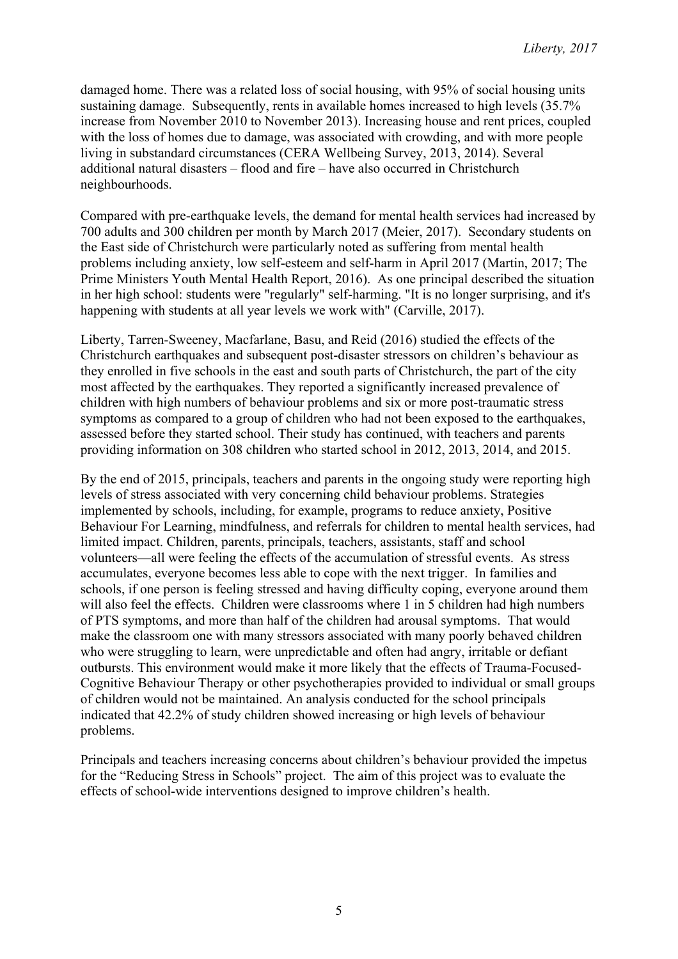damaged home. There was a related loss of social housing, with 95% of social housing units sustaining damage. Subsequently, rents in available homes increased to high levels (35.7% increase from November 2010 to November 2013). Increasing house and rent prices, coupled with the loss of homes due to damage, was associated with crowding, and with more people living in substandard circumstances (CERA Wellbeing Survey, 2013, 2014). Several additional natural disasters – flood and fire – have also occurred in Christchurch neighbourhoods.

Compared with pre-earthquake levels, the demand for mental health services had increased by 700 adults and 300 children per month by March 2017 (Meier, 2017). Secondary students on the East side of Christchurch were particularly noted as suffering from mental health problems including anxiety, low self-esteem and self-harm in April 2017 (Martin, 2017; The Prime Ministers Youth Mental Health Report, 2016). As one principal described the situation in her high school: students were "regularly" self-harming. "It is no longer surprising, and it's happening with students at all year levels we work with" (Carville, 2017).

Liberty, Tarren-Sweeney, Macfarlane, Basu, and Reid (2016) studied the effects of the Christchurch earthquakes and subsequent post-disaster stressors on children's behaviour as they enrolled in five schools in the east and south parts of Christchurch, the part of the city most affected by the earthquakes. They reported a significantly increased prevalence of children with high numbers of behaviour problems and six or more post-traumatic stress symptoms as compared to a group of children who had not been exposed to the earthquakes. assessed before they started school. Their study has continued, with teachers and parents providing information on 308 children who started school in 2012, 2013, 2014, and 2015.

By the end of 2015, principals, teachers and parents in the ongoing study were reporting high levels of stress associated with very concerning child behaviour problems. Strategies implemented by schools, including, for example, programs to reduce anxiety, Positive Behaviour For Learning, mindfulness, and referrals for children to mental health services, had limited impact. Children, parents, principals, teachers, assistants, staff and school volunteers—all were feeling the effects of the accumulation of stressful events. As stress accumulates, everyone becomes less able to cope with the next trigger. In families and schools, if one person is feeling stressed and having difficulty coping, everyone around them will also feel the effects. Children were classrooms where 1 in 5 children had high numbers of PTS symptoms, and more than half of the children had arousal symptoms. That would make the classroom one with many stressors associated with many poorly behaved children who were struggling to learn, were unpredictable and often had angry, irritable or defiant outbursts. This environment would make it more likely that the effects of Trauma-Focused-Cognitive Behaviour Therapy or other psychotherapies provided to individual or small groups of children would not be maintained. An analysis conducted for the school principals indicated that 42.2% of study children showed increasing or high levels of behaviour problems.

Principals and teachers increasing concerns about children's behaviour provided the impetus for the "Reducing Stress in Schools" project. The aim of this project was to evaluate the effects of school-wide interventions designed to improve children's health.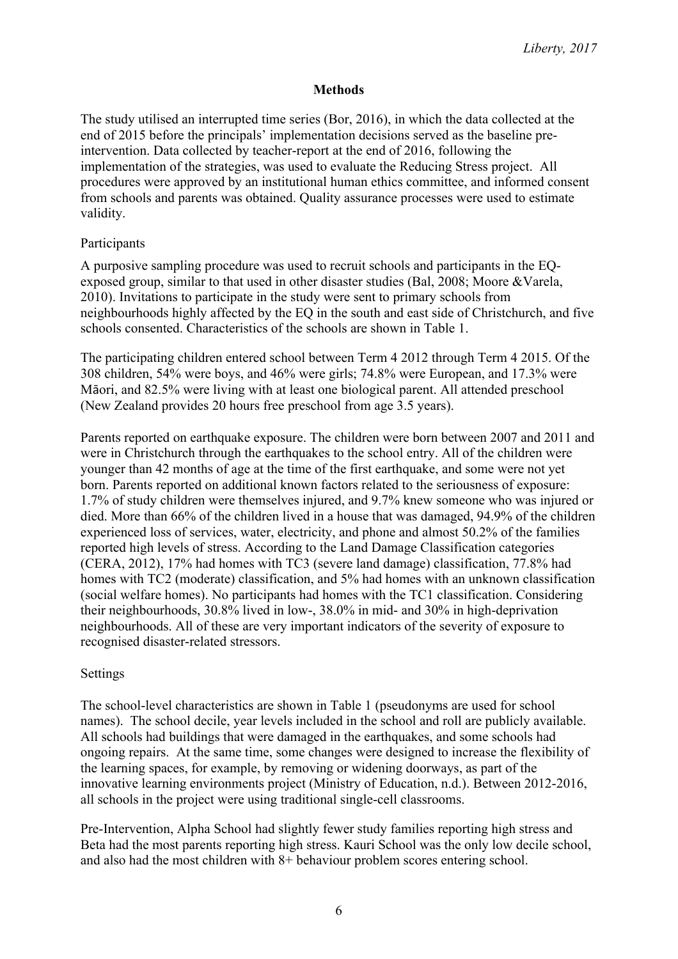### **Methods**

The study utilised an interrupted time series (Bor, 2016), in which the data collected at the end of 2015 before the principals' implementation decisions served as the baseline preintervention. Data collected by teacher-report at the end of 2016, following the implementation of the strategies, was used to evaluate the Reducing Stress project. All procedures were approved by an institutional human ethics committee, and informed consent from schools and parents was obtained. Quality assurance processes were used to estimate validity.

### Participants

A purposive sampling procedure was used to recruit schools and participants in the EQexposed group, similar to that used in other disaster studies (Bal, 2008; Moore &Varela, 2010). Invitations to participate in the study were sent to primary schools from neighbourhoods highly affected by the EQ in the south and east side of Christchurch, and five schools consented. Characteristics of the schools are shown in Table 1.

The participating children entered school between Term 4 2012 through Term 4 2015. Of the 308 children, 54% were boys, and 46% were girls; 74.8% were European, and 17.3% were Māori, and 82.5% were living with at least one biological parent. All attended preschool (New Zealand provides 20 hours free preschool from age 3.5 years).

Parents reported on earthquake exposure. The children were born between 2007 and 2011 and were in Christchurch through the earthquakes to the school entry. All of the children were younger than 42 months of age at the time of the first earthquake, and some were not yet born. Parents reported on additional known factors related to the seriousness of exposure: 1.7% of study children were themselves injured, and 9.7% knew someone who was injured or died. More than 66% of the children lived in a house that was damaged, 94.9% of the children experienced loss of services, water, electricity, and phone and almost 50.2% of the families reported high levels of stress. According to the Land Damage Classification categories (CERA, 2012), 17% had homes with TC3 (severe land damage) classification, 77.8% had homes with TC2 (moderate) classification, and 5% had homes with an unknown classification (social welfare homes). No participants had homes with the TC1 classification. Considering their neighbourhoods, 30.8% lived in low-, 38.0% in mid- and 30% in high-deprivation neighbourhoods. All of these are very important indicators of the severity of exposure to recognised disaster-related stressors.

#### Settings

The school-level characteristics are shown in Table 1 (pseudonyms are used for school names). The school decile, year levels included in the school and roll are publicly available. All schools had buildings that were damaged in the earthquakes, and some schools had ongoing repairs. At the same time, some changes were designed to increase the flexibility of the learning spaces, for example, by removing or widening doorways, as part of the innovative learning environments project (Ministry of Education, n.d.). Between 2012-2016, all schools in the project were using traditional single-cell classrooms.

Pre-Intervention, Alpha School had slightly fewer study families reporting high stress and Beta had the most parents reporting high stress. Kauri School was the only low decile school, and also had the most children with 8+ behaviour problem scores entering school.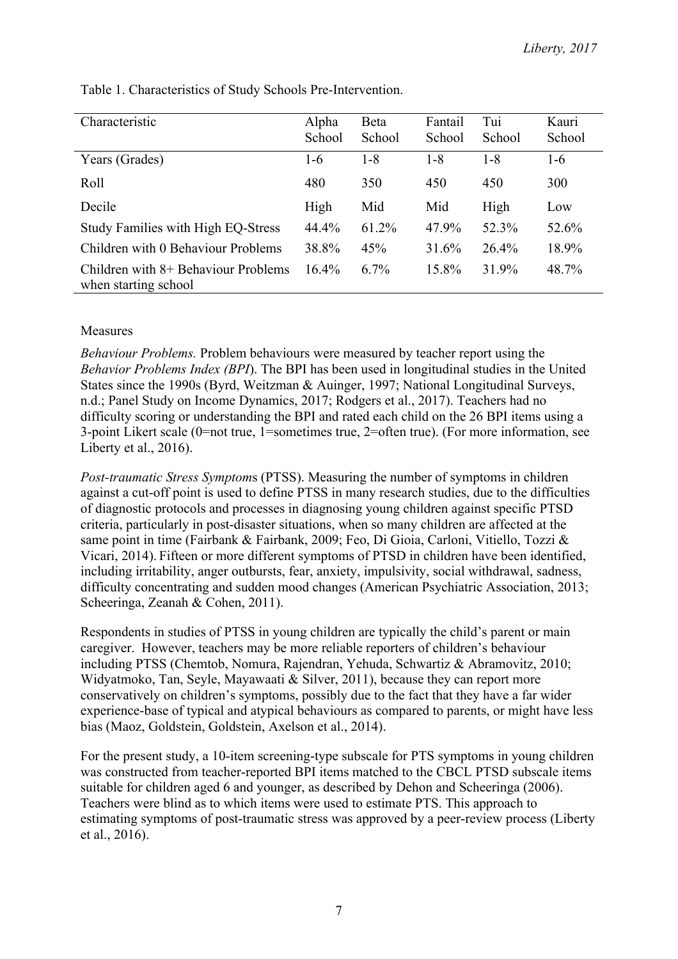| Characteristic                                                | Alpha<br>School | Beta<br>School | Fantail<br>School | Tui<br>School | Kauri<br>School |
|---------------------------------------------------------------|-----------------|----------------|-------------------|---------------|-----------------|
| Years (Grades)                                                | $1-6$           | $1 - 8$        | $1 - 8$           | $1 - 8$       | $1-6$           |
| Roll                                                          | 480             | 350            | 450               | 450           | 300             |
| Decile                                                        | High            | Mid            | Mid               | High          | Low             |
| <b>Study Families with High EQ-Stress</b>                     | 44.4%           | 61.2%          | 47.9%             | 52.3%         | 52.6%           |
| Children with 0 Behaviour Problems                            | 38.8%           | 45%            | 31.6%             | 26.4%         | 18.9%           |
| Children with $8+$ Behaviour Problems<br>when starting school | $16.4\%$        | 6.7%           | 15.8%             | 31.9%         | 48.7%           |

Table 1. Characteristics of Study Schools Pre-Intervention.

## Measures

*Behaviour Problems.* Problem behaviours were measured by teacher report using the *Behavior Problems Index (BPI*). The BPI has been used in longitudinal studies in the United States since the 1990s (Byrd, Weitzman & Auinger, 1997; National Longitudinal Surveys, n.d.; Panel Study on Income Dynamics, 2017; Rodgers et al., 2017). Teachers had no difficulty scoring or understanding the BPI and rated each child on the 26 BPI items using a 3-point Likert scale (0=not true, 1=sometimes true, 2=often true). (For more information, see Liberty et al., 2016).

*Post-traumatic Stress Symptom*s (PTSS). Measuring the number of symptoms in children against a cut-off point is used to define PTSS in many research studies, due to the difficulties of diagnostic protocols and processes in diagnosing young children against specific PTSD criteria, particularly in post-disaster situations, when so many children are affected at the same point in time (Fairbank & Fairbank, 2009; Feo, Di Gioia, Carloni, Vitiello, Tozzi & Vicari, 2014). Fifteen or more different symptoms of PTSD in children have been identified, including irritability, anger outbursts, fear, anxiety, impulsivity, social withdrawal, sadness, difficulty concentrating and sudden mood changes (American Psychiatric Association, 2013; Scheeringa, Zeanah & Cohen, 2011).

Respondents in studies of PTSS in young children are typically the child's parent or main caregiver. However, teachers may be more reliable reporters of children's behaviour including PTSS (Chemtob, Nomura, Rajendran, Yehuda, Schwartiz & Abramovitz, 2010; Widyatmoko, Tan, Seyle, Mayawaati & Silver, 2011), because they can report more conservatively on children's symptoms, possibly due to the fact that they have a far wider experience-base of typical and atypical behaviours as compared to parents, or might have less bias (Maoz, Goldstein, Goldstein, Axelson et al., 2014).

For the present study, a 10-item screening-type subscale for PTS symptoms in young children was constructed from teacher-reported BPI items matched to the CBCL PTSD subscale items suitable for children aged 6 and younger, as described by Dehon and Scheeringa (2006). Teachers were blind as to which items were used to estimate PTS. This approach to estimating symptoms of post-traumatic stress was approved by a peer-review process (Liberty et al., 2016).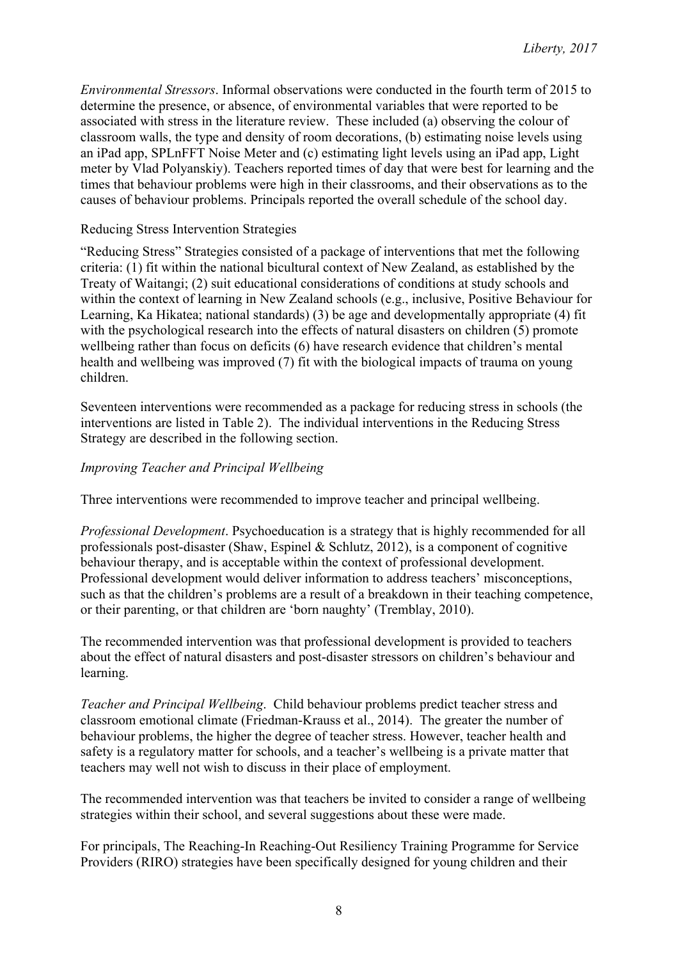*Environmental Stressors*. Informal observations were conducted in the fourth term of 2015 to determine the presence, or absence, of environmental variables that were reported to be associated with stress in the literature review. These included (a) observing the colour of classroom walls, the type and density of room decorations, (b) estimating noise levels using an iPad app, SPLnFFT Noise Meter and (c) estimating light levels using an iPad app, Light meter by Vlad Polyanskiy). Teachers reported times of day that were best for learning and the times that behaviour problems were high in their classrooms, and their observations as to the causes of behaviour problems. Principals reported the overall schedule of the school day.

### Reducing Stress Intervention Strategies

"Reducing Stress" Strategies consisted of a package of interventions that met the following criteria: (1) fit within the national bicultural context of New Zealand, as established by the Treaty of Waitangi; (2) suit educational considerations of conditions at study schools and within the context of learning in New Zealand schools (e.g., inclusive, Positive Behaviour for Learning, Ka Hikatea; national standards) (3) be age and developmentally appropriate (4) fit with the psychological research into the effects of natural disasters on children (5) promote wellbeing rather than focus on deficits (6) have research evidence that children's mental health and wellbeing was improved (7) fit with the biological impacts of trauma on young children.

Seventeen interventions were recommended as a package for reducing stress in schools (the interventions are listed in Table 2). The individual interventions in the Reducing Stress Strategy are described in the following section.

## *Improving Teacher and Principal Wellbeing*

Three interventions were recommended to improve teacher and principal wellbeing.

*Professional Development*. Psychoeducation is a strategy that is highly recommended for all professionals post-disaster (Shaw, Espinel & Schlutz, 2012), is a component of cognitive behaviour therapy, and is acceptable within the context of professional development. Professional development would deliver information to address teachers' misconceptions, such as that the children's problems are a result of a breakdown in their teaching competence, or their parenting, or that children are 'born naughty' (Tremblay, 2010).

The recommended intervention was that professional development is provided to teachers about the effect of natural disasters and post-disaster stressors on children's behaviour and learning.

*Teacher and Principal Wellbeing*. Child behaviour problems predict teacher stress and classroom emotional climate (Friedman-Krauss et al., 2014). The greater the number of behaviour problems, the higher the degree of teacher stress. However, teacher health and safety is a regulatory matter for schools, and a teacher's wellbeing is a private matter that teachers may well not wish to discuss in their place of employment.

The recommended intervention was that teachers be invited to consider a range of wellbeing strategies within their school, and several suggestions about these were made.

For principals, The Reaching-In Reaching-Out Resiliency Training Programme for Service Providers (RIRO) strategies have been specifically designed for young children and their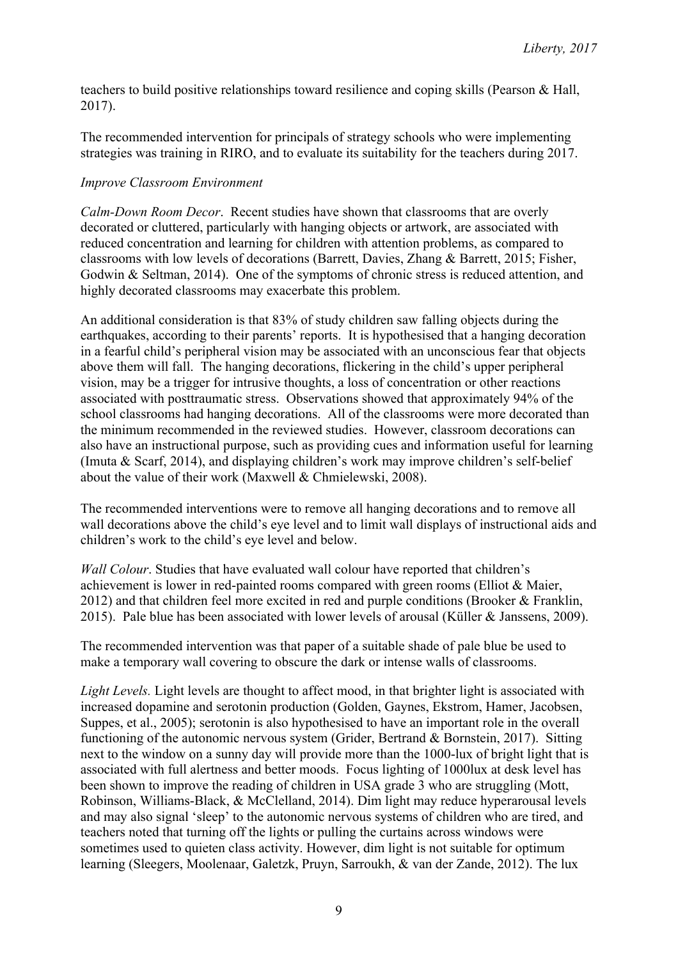teachers to build positive relationships toward resilience and coping skills (Pearson & Hall, 2017).

The recommended intervention for principals of strategy schools who were implementing strategies was training in RIRO, and to evaluate its suitability for the teachers during 2017.

# *Improve Classroom Environment*

*Calm-Down Room Decor*. Recent studies have shown that classrooms that are overly decorated or cluttered, particularly with hanging objects or artwork, are associated with reduced concentration and learning for children with attention problems, as compared to classrooms with low levels of decorations (Barrett, Davies, Zhang & Barrett, 2015; Fisher, Godwin & Seltman, 2014). One of the symptoms of chronic stress is reduced attention, and highly decorated classrooms may exacerbate this problem.

An additional consideration is that 83% of study children saw falling objects during the earthquakes, according to their parents' reports. It is hypothesised that a hanging decoration in a fearful child's peripheral vision may be associated with an unconscious fear that objects above them will fall. The hanging decorations, flickering in the child's upper peripheral vision, may be a trigger for intrusive thoughts, a loss of concentration or other reactions associated with posttraumatic stress. Observations showed that approximately 94% of the school classrooms had hanging decorations. All of the classrooms were more decorated than the minimum recommended in the reviewed studies. However, classroom decorations can also have an instructional purpose, such as providing cues and information useful for learning (Imuta & Scarf, 2014), and displaying children's work may improve children's self-belief about the value of their work (Maxwell & Chmielewski, 2008).

The recommended interventions were to remove all hanging decorations and to remove all wall decorations above the child's eye level and to limit wall displays of instructional aids and children's work to the child's eye level and below.

*Wall Colour*. Studies that have evaluated wall colour have reported that children's achievement is lower in red-painted rooms compared with green rooms (Elliot & Maier, 2012) and that children feel more excited in red and purple conditions (Brooker & Franklin, 2015). Pale blue has been associated with lower levels of arousal (Küller & Janssens, 2009).

The recommended intervention was that paper of a suitable shade of pale blue be used to make a temporary wall covering to obscure the dark or intense walls of classrooms.

*Light Levels.* Light levels are thought to affect mood, in that brighter light is associated with increased dopamine and serotonin production (Golden, Gaynes, Ekstrom, Hamer, Jacobsen, Suppes, et al., 2005); serotonin is also hypothesised to have an important role in the overall functioning of the autonomic nervous system (Grider, Bertrand & Bornstein, 2017). Sitting next to the window on a sunny day will provide more than the 1000-lux of bright light that is associated with full alertness and better moods. Focus lighting of 1000lux at desk level has been shown to improve the reading of children in USA grade 3 who are struggling (Mott, Robinson, Williams-Black, & McClelland, 2014). Dim light may reduce hyperarousal levels and may also signal 'sleep' to the autonomic nervous systems of children who are tired, and teachers noted that turning off the lights or pulling the curtains across windows were sometimes used to quieten class activity. However, dim light is not suitable for optimum learning (Sleegers, Moolenaar, Galetzk, Pruyn, Sarroukh, & van der Zande, 2012). The lux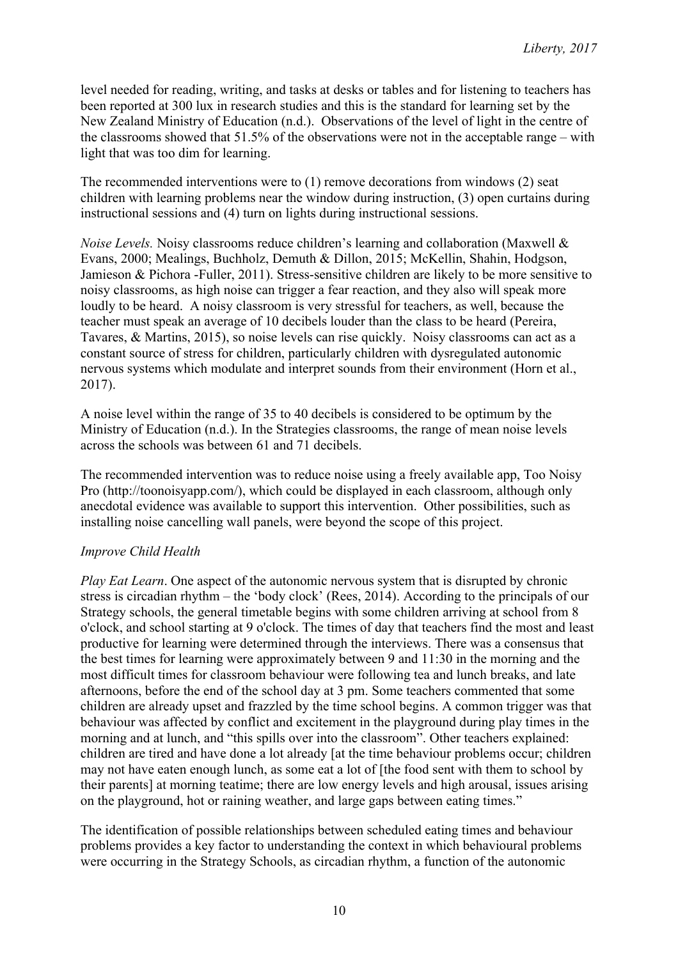level needed for reading, writing, and tasks at desks or tables and for listening to teachers has been reported at 300 lux in research studies and this is the standard for learning set by the New Zealand Ministry of Education (n.d.). Observations of the level of light in the centre of the classrooms showed that 51.5% of the observations were not in the acceptable range – with light that was too dim for learning.

The recommended interventions were to (1) remove decorations from windows (2) seat children with learning problems near the window during instruction, (3) open curtains during instructional sessions and (4) turn on lights during instructional sessions.

*Noise Levels.* Noisy classrooms reduce children's learning and collaboration (Maxwell & Evans, 2000; Mealings, Buchholz, Demuth & Dillon, 2015; McKellin, Shahin, Hodgson, Jamieson & Pichora -Fuller, 2011). Stress-sensitive children are likely to be more sensitive to noisy classrooms, as high noise can trigger a fear reaction, and they also will speak more loudly to be heard. A noisy classroom is very stressful for teachers, as well, because the teacher must speak an average of 10 decibels louder than the class to be heard (Pereira, Tavares, & Martins, 2015), so noise levels can rise quickly. Noisy classrooms can act as a constant source of stress for children, particularly children with dysregulated autonomic nervous systems which modulate and interpret sounds from their environment (Horn et al., 2017).

A noise level within the range of 35 to 40 decibels is considered to be optimum by the Ministry of Education (n.d.). In the Strategies classrooms, the range of mean noise levels across the schools was between 61 and 71 decibels.

The recommended intervention was to reduce noise using a freely available app, Too Noisy Pro (http://toonoisyapp.com/), which could be displayed in each classroom, although only anecdotal evidence was available to support this intervention. Other possibilities, such as installing noise cancelling wall panels, were beyond the scope of this project.

## *Improve Child Health*

*Play Eat Learn*. One aspect of the autonomic nervous system that is disrupted by chronic stress is circadian rhythm – the 'body clock' (Rees, 2014). According to the principals of our Strategy schools, the general timetable begins with some children arriving at school from 8 o'clock, and school starting at 9 o'clock. The times of day that teachers find the most and least productive for learning were determined through the interviews. There was a consensus that the best times for learning were approximately between 9 and 11:30 in the morning and the most difficult times for classroom behaviour were following tea and lunch breaks, and late afternoons, before the end of the school day at 3 pm. Some teachers commented that some children are already upset and frazzled by the time school begins. A common trigger was that behaviour was affected by conflict and excitement in the playground during play times in the morning and at lunch, and "this spills over into the classroom". Other teachers explained: children are tired and have done a lot already [at the time behaviour problems occur; children may not have eaten enough lunch, as some eat a lot of [the food sent with them to school by their parents] at morning teatime; there are low energy levels and high arousal, issues arising on the playground, hot or raining weather, and large gaps between eating times."

The identification of possible relationships between scheduled eating times and behaviour problems provides a key factor to understanding the context in which behavioural problems were occurring in the Strategy Schools, as circadian rhythm, a function of the autonomic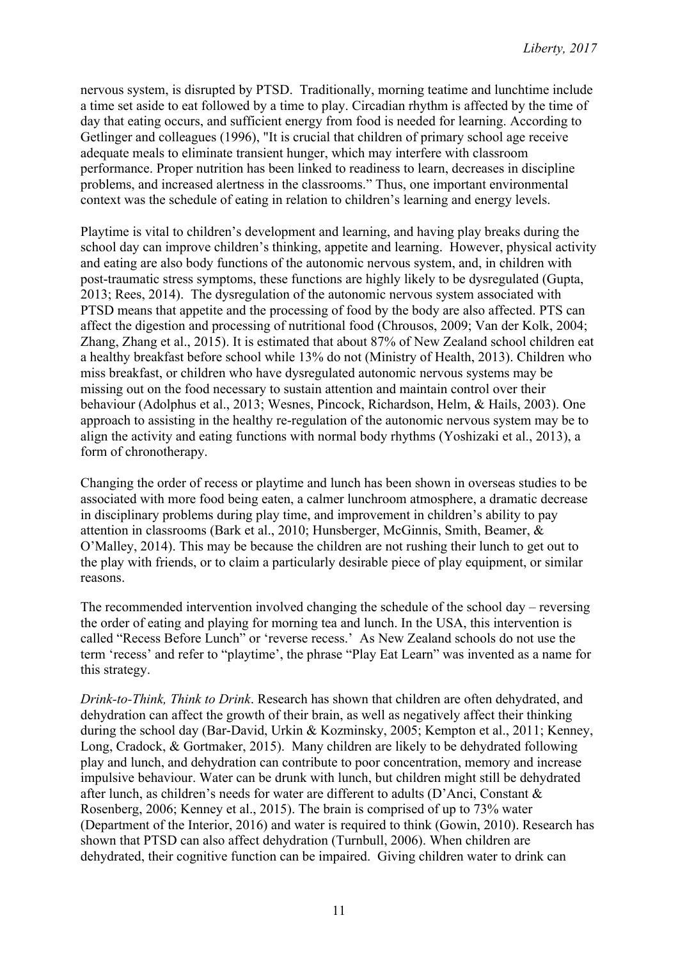nervous system, is disrupted by PTSD. Traditionally, morning teatime and lunchtime include a time set aside to eat followed by a time to play. Circadian rhythm is affected by the time of day that eating occurs, and sufficient energy from food is needed for learning. According to Getlinger and colleagues (1996), "It is crucial that children of primary school age receive adequate meals to eliminate transient hunger, which may interfere with classroom performance. Proper nutrition has been linked to readiness to learn, decreases in discipline problems, and increased alertness in the classrooms." Thus, one important environmental context was the schedule of eating in relation to children's learning and energy levels.

Playtime is vital to children's development and learning, and having play breaks during the school day can improve children's thinking, appetite and learning. However, physical activity and eating are also body functions of the autonomic nervous system, and, in children with post-traumatic stress symptoms, these functions are highly likely to be dysregulated (Gupta, 2013; Rees, 2014). The dysregulation of the autonomic nervous system associated with PTSD means that appetite and the processing of food by the body are also affected. PTS can affect the digestion and processing of nutritional food (Chrousos, 2009; Van der Kolk, 2004; Zhang, Zhang et al., 2015). It is estimated that about 87% of New Zealand school children eat a healthy breakfast before school while 13% do not (Ministry of Health, 2013). Children who miss breakfast, or children who have dysregulated autonomic nervous systems may be missing out on the food necessary to sustain attention and maintain control over their behaviour (Adolphus et al., 2013; Wesnes, Pincock, Richardson, Helm, & Hails, 2003). One approach to assisting in the healthy re-regulation of the autonomic nervous system may be to align the activity and eating functions with normal body rhythms (Yoshizaki et al., 2013), a form of chronotherapy.

Changing the order of recess or playtime and lunch has been shown in overseas studies to be associated with more food being eaten, a calmer lunchroom atmosphere, a dramatic decrease in disciplinary problems during play time, and improvement in children's ability to pay attention in classrooms (Bark et al., 2010; Hunsberger, McGinnis, Smith, Beamer, & O'Malley, 2014). This may be because the children are not rushing their lunch to get out to the play with friends, or to claim a particularly desirable piece of play equipment, or similar reasons.

The recommended intervention involved changing the schedule of the school day – reversing the order of eating and playing for morning tea and lunch. In the USA, this intervention is called "Recess Before Lunch" or 'reverse recess.' As New Zealand schools do not use the term 'recess' and refer to "playtime', the phrase "Play Eat Learn" was invented as a name for this strategy.

*Drink-to-Think, Think to Drink*. Research has shown that children are often dehydrated, and dehydration can affect the growth of their brain, as well as negatively affect their thinking during the school day (Bar-David, Urkin & Kozminsky, 2005; Kempton et al., 2011; Kenney, Long, Cradock, & Gortmaker, 2015). Many children are likely to be dehydrated following play and lunch, and dehydration can contribute to poor concentration, memory and increase impulsive behaviour. Water can be drunk with lunch, but children might still be dehydrated after lunch, as children's needs for water are different to adults (D'Anci, Constant & Rosenberg, 2006; Kenney et al., 2015). The brain is comprised of up to 73% water (Department of the Interior, 2016) and water is required to think (Gowin, 2010). Research has shown that PTSD can also affect dehydration (Turnbull, 2006). When children are dehydrated, their cognitive function can be impaired. Giving children water to drink can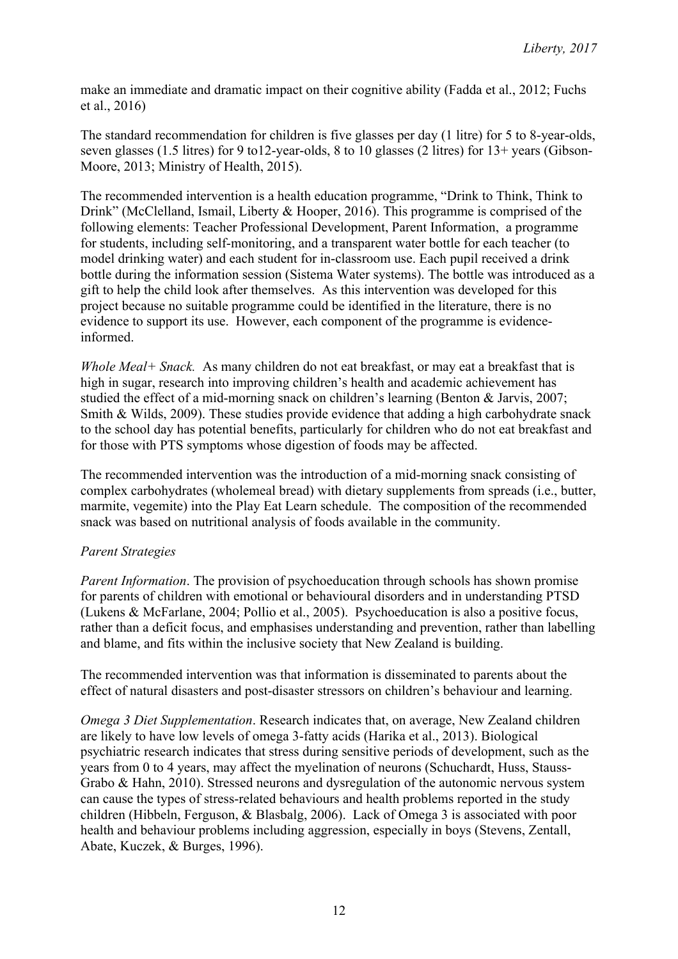make an immediate and dramatic impact on their cognitive ability (Fadda et al., 2012; Fuchs et al., 2016)

The standard recommendation for children is five glasses per day (1 litre) for 5 to 8-year-olds, seven glasses (1.5 litres) for 9 to12-year-olds, 8 to 10 glasses (2 litres) for 13+ years (Gibson-Moore, 2013; Ministry of Health, 2015).

The recommended intervention is a health education programme, "Drink to Think, Think to Drink" (McClelland, Ismail, Liberty & Hooper, 2016). This programme is comprised of the following elements: Teacher Professional Development, Parent Information, a programme for students, including self-monitoring, and a transparent water bottle for each teacher (to model drinking water) and each student for in-classroom use. Each pupil received a drink bottle during the information session (Sistema Water systems). The bottle was introduced as a gift to help the child look after themselves. As this intervention was developed for this project because no suitable programme could be identified in the literature, there is no evidence to support its use. However, each component of the programme is evidenceinformed.

*Whole Meal+ Snack.* As many children do not eat breakfast, or may eat a breakfast that is high in sugar, research into improving children's health and academic achievement has studied the effect of a mid-morning snack on children's learning (Benton & Jarvis, 2007; Smith & Wilds, 2009). These studies provide evidence that adding a high carbohydrate snack to the school day has potential benefits, particularly for children who do not eat breakfast and for those with PTS symptoms whose digestion of foods may be affected.

The recommended intervention was the introduction of a mid-morning snack consisting of complex carbohydrates (wholemeal bread) with dietary supplements from spreads (i.e., butter, marmite, vegemite) into the Play Eat Learn schedule. The composition of the recommended snack was based on nutritional analysis of foods available in the community.

## *Parent Strategies*

*Parent Information*. The provision of psychoeducation through schools has shown promise for parents of children with emotional or behavioural disorders and in understanding PTSD (Lukens & McFarlane, 2004; Pollio et al., 2005). Psychoeducation is also a positive focus, rather than a deficit focus, and emphasises understanding and prevention, rather than labelling and blame, and fits within the inclusive society that New Zealand is building.

The recommended intervention was that information is disseminated to parents about the effect of natural disasters and post-disaster stressors on children's behaviour and learning.

*Omega 3 Diet Supplementation*. Research indicates that, on average, New Zealand children are likely to have low levels of omega 3-fatty acids (Harika et al., 2013). Biological psychiatric research indicates that stress during sensitive periods of development, such as the years from 0 to 4 years, may affect the myelination of neurons (Schuchardt, Huss, Stauss-Grabo & Hahn, 2010). Stressed neurons and dysregulation of the autonomic nervous system can cause the types of stress-related behaviours and health problems reported in the study children (Hibbeln, Ferguson, & Blasbalg, 2006). Lack of Omega 3 is associated with poor health and behaviour problems including aggression, especially in boys (Stevens, Zentall, Abate, Kuczek, & Burges, 1996).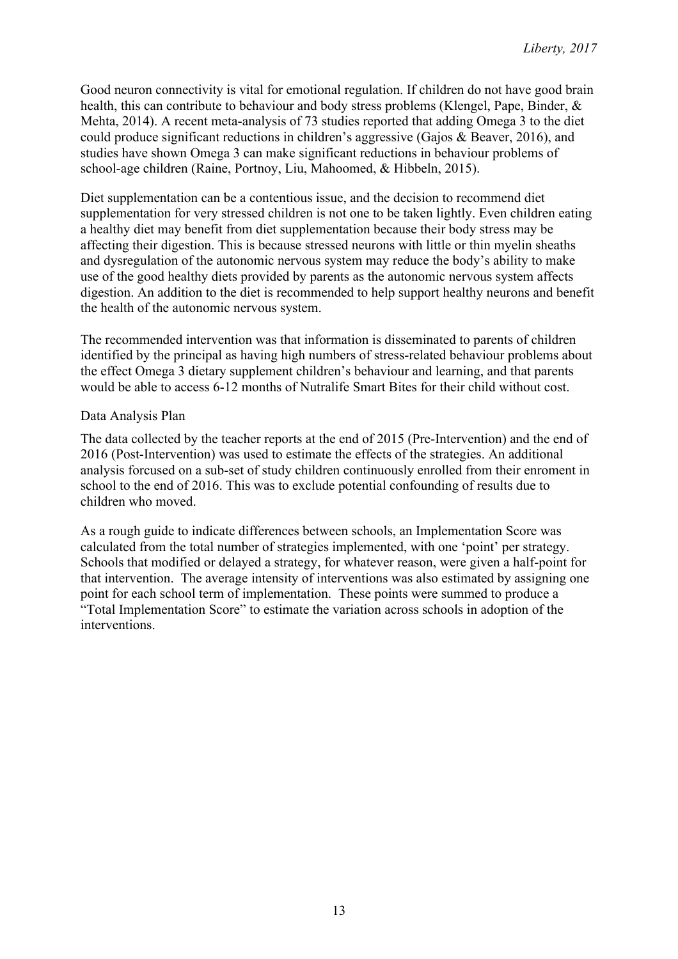Good neuron connectivity is vital for emotional regulation. If children do not have good brain health, this can contribute to behaviour and body stress problems (Klengel, Pape, Binder, & Mehta, 2014). A recent meta-analysis of 73 studies reported that adding Omega 3 to the diet could produce significant reductions in children's aggressive (Gajos & Beaver, 2016), and studies have shown Omega 3 can make significant reductions in behaviour problems of school-age children (Raine, Portnoy, Liu, Mahoomed, & Hibbeln, 2015).

Diet supplementation can be a contentious issue, and the decision to recommend diet supplementation for very stressed children is not one to be taken lightly. Even children eating a healthy diet may benefit from diet supplementation because their body stress may be affecting their digestion. This is because stressed neurons with little or thin myelin sheaths and dysregulation of the autonomic nervous system may reduce the body's ability to make use of the good healthy diets provided by parents as the autonomic nervous system affects digestion. An addition to the diet is recommended to help support healthy neurons and benefit the health of the autonomic nervous system.

The recommended intervention was that information is disseminated to parents of children identified by the principal as having high numbers of stress-related behaviour problems about the effect Omega 3 dietary supplement children's behaviour and learning, and that parents would be able to access 6-12 months of Nutralife Smart Bites for their child without cost.

#### Data Analysis Plan

The data collected by the teacher reports at the end of 2015 (Pre-Intervention) and the end of 2016 (Post-Intervention) was used to estimate the effects of the strategies. An additional analysis forcused on a sub-set of study children continuously enrolled from their enroment in school to the end of 2016. This was to exclude potential confounding of results due to children who moved.

As a rough guide to indicate differences between schools, an Implementation Score was calculated from the total number of strategies implemented, with one 'point' per strategy. Schools that modified or delayed a strategy, for whatever reason, were given a half-point for that intervention. The average intensity of interventions was also estimated by assigning one point for each school term of implementation. These points were summed to produce a "Total Implementation Score" to estimate the variation across schools in adoption of the interventions.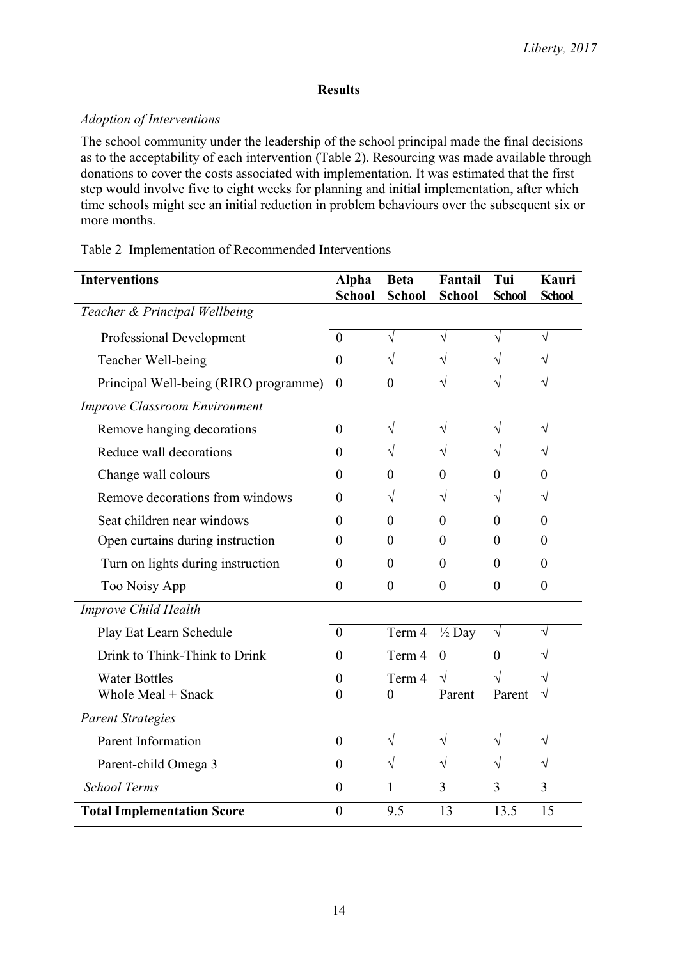## **Results**

## *Adoption of Interventions*

The school community under the leadership of the school principal made the final decisions as to the acceptability of each intervention (Table 2). Resourcing was made available through donations to cover the costs associated with implementation. It was estimated that the first step would involve five to eight weeks for planning and initial implementation, after which time schools might see an initial reduction in problem behaviours over the subsequent six or more months.

## Table 2 Implementation of Recommended Interventions

| <b>Interventions</b>                  | <b>Alpha</b><br><b>School</b> | <b>Beta</b><br><b>School</b> | Fantail<br><b>School</b> | Tui<br><b>School</b> | Kauri<br><b>School</b> |
|---------------------------------------|-------------------------------|------------------------------|--------------------------|----------------------|------------------------|
| Teacher & Principal Wellbeing         |                               |                              |                          |                      |                        |
| Professional Development              | $\theta$                      | V                            | V                        | V                    |                        |
| Teacher Well-being                    | $\overline{0}$                |                              |                          |                      |                        |
| Principal Well-being (RIRO programme) | $\overline{0}$                | $\theta$                     |                          |                      |                        |
| <b>Improve Classroom Environment</b>  |                               |                              |                          |                      |                        |
| Remove hanging decorations            | $\theta$                      | V                            | V                        |                      |                        |
| Reduce wall decorations               | $\Omega$                      |                              | V                        | V                    |                        |
| Change wall colours                   | 0                             | $\Omega$                     | 0                        | 0                    | 0                      |
| Remove decorations from windows       | $\Omega$                      | V                            | V                        | V                    | V                      |
| Seat children near windows            | $_{0}$                        | $\Omega$                     | $\theta$                 | 0                    | $\theta$               |
| Open curtains during instruction      | 0                             | $\Omega$                     | 0                        | 0                    | 0                      |
| Turn on lights during instruction     | $\Omega$                      | $\theta$                     | $\theta$                 | $\theta$             | 0                      |
| Too Noisy App                         | $\theta$                      | $\theta$                     | $\theta$                 | $\theta$             | $\theta$               |
| Improve Child Health                  |                               |                              |                          |                      |                        |
| Play Eat Learn Schedule               | $\theta$                      | Term 4                       | $\frac{1}{2}$ Day        | V                    |                        |
| Drink to Think-Think to Drink         | $\Omega$                      | Term 4                       | $\theta$                 | $\theta$             |                        |
| <b>Water Bottles</b>                  | 0                             | Term 4                       | $\sqrt{}$                |                      |                        |
| Whole Meal + Snack                    | $\overline{0}$                | $\overline{0}$               | Parent                   | Parent               |                        |
| <b>Parent Strategies</b>              |                               |                              |                          |                      |                        |
| Parent Information                    | $\boldsymbol{0}$              | N                            | V                        |                      |                        |
| Parent-child Omega 3                  | $\theta$                      | V                            | V                        | V                    | V                      |
| <b>School Terms</b>                   | $\theta$                      | 1                            | 3                        | 3                    | 3                      |
| <b>Total Implementation Score</b>     | $\boldsymbol{0}$              | 9.5                          | 13                       | 13.5                 | 15                     |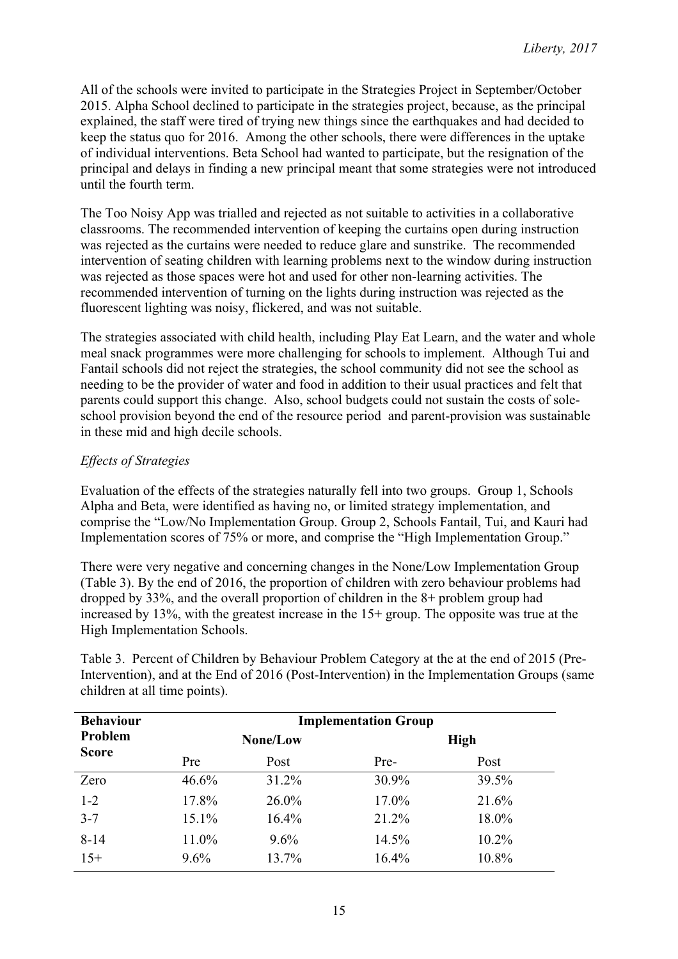All of the schools were invited to participate in the Strategies Project in September/October 2015. Alpha School declined to participate in the strategies project, because, as the principal explained, the staff were tired of trying new things since the earthquakes and had decided to keep the status quo for 2016. Among the other schools, there were differences in the uptake of individual interventions. Beta School had wanted to participate, but the resignation of the principal and delays in finding a new principal meant that some strategies were not introduced until the fourth term.

The Too Noisy App was trialled and rejected as not suitable to activities in a collaborative classrooms. The recommended intervention of keeping the curtains open during instruction was rejected as the curtains were needed to reduce glare and sunstrike. The recommended intervention of seating children with learning problems next to the window during instruction was rejected as those spaces were hot and used for other non-learning activities. The recommended intervention of turning on the lights during instruction was rejected as the fluorescent lighting was noisy, flickered, and was not suitable.

The strategies associated with child health, including Play Eat Learn, and the water and whole meal snack programmes were more challenging for schools to implement. Although Tui and Fantail schools did not reject the strategies, the school community did not see the school as needing to be the provider of water and food in addition to their usual practices and felt that parents could support this change. Also, school budgets could not sustain the costs of soleschool provision beyond the end of the resource period and parent-provision was sustainable in these mid and high decile schools.

# *Effects of Strategies*

Evaluation of the effects of the strategies naturally fell into two groups. Group 1, Schools Alpha and Beta, were identified as having no, or limited strategy implementation, and comprise the "Low/No Implementation Group. Group 2, Schools Fantail, Tui, and Kauri had Implementation scores of 75% or more, and comprise the "High Implementation Group."

There were very negative and concerning changes in the None/Low Implementation Group (Table 3). By the end of 2016, the proportion of children with zero behaviour problems had dropped by 33%, and the overall proportion of children in the 8+ problem group had increased by 13%, with the greatest increase in the 15+ group. The opposite was true at the High Implementation Schools.

Table 3. Percent of Children by Behaviour Problem Category at the at the end of 2015 (Pre-Intervention), and at the End of 2016 (Post-Intervention) in the Implementation Groups (same children at all time points).

| <b>Behaviour</b>        | <b>Implementation Group</b> |          |       |             |  |  |  |
|-------------------------|-----------------------------|----------|-------|-------------|--|--|--|
| Problem<br><b>Score</b> |                             | None/Low |       | <b>High</b> |  |  |  |
|                         | <b>Pre</b>                  | Post     | Pre-  | Post        |  |  |  |
| Zero                    | 46.6%                       | 31.2%    | 30.9% | 39.5%       |  |  |  |
| $1 - 2$                 | 17.8%                       | 26.0%    | 17.0% | 21.6%       |  |  |  |
| $3 - 7$                 | 15.1%                       | 16.4%    | 21.2% | 18.0%       |  |  |  |
| $8 - 14$                | 11.0%                       | 9.6%     | 14.5% | $10.2\%$    |  |  |  |
| $15+$                   | $9.6\%$                     | 13.7%    | 16.4% | 10.8%       |  |  |  |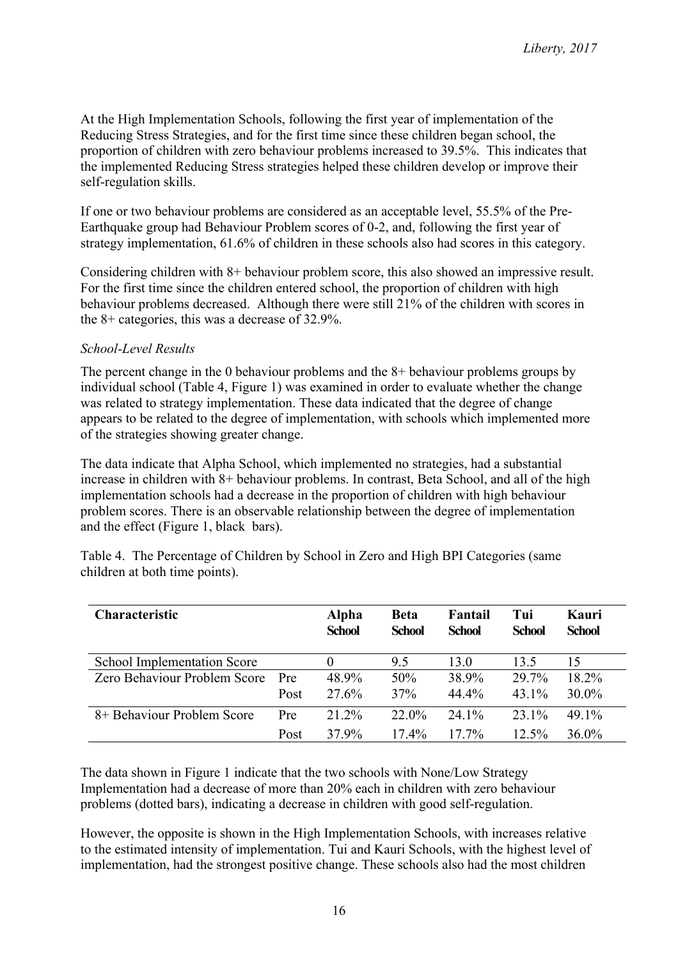At the High Implementation Schools, following the first year of implementation of the Reducing Stress Strategies, and for the first time since these children began school, the proportion of children with zero behaviour problems increased to 39.5%. This indicates that the implemented Reducing Stress strategies helped these children develop or improve their self-regulation skills.

If one or two behaviour problems are considered as an acceptable level, 55.5% of the Pre-Earthquake group had Behaviour Problem scores of 0-2, and, following the first year of strategy implementation, 61.6% of children in these schools also had scores in this category.

Considering children with 8+ behaviour problem score, this also showed an impressive result. For the first time since the children entered school, the proportion of children with high behaviour problems decreased. Although there were still 21% of the children with scores in the 8+ categories, this was a decrease of 32.9%.

### *School-Level Results*

The percent change in the 0 behaviour problems and the 8+ behaviour problems groups by individual school (Table 4, Figure 1) was examined in order to evaluate whether the change was related to strategy implementation. These data indicated that the degree of change appears to be related to the degree of implementation, with schools which implemented more of the strategies showing greater change.

The data indicate that Alpha School, which implemented no strategies, had a substantial increase in children with 8+ behaviour problems. In contrast, Beta School, and all of the high implementation schools had a decrease in the proportion of children with high behaviour problem scores. There is an observable relationship between the degree of implementation and the effect (Figure 1, black bars).

| <b>Characteristic</b>              |      | Alpha<br><b>School</b> | <b>Beta</b><br><b>School</b> | Fantail<br><b>School</b> | Tui<br><b>School</b> | Kauri<br><b>School</b> |
|------------------------------------|------|------------------------|------------------------------|--------------------------|----------------------|------------------------|
| <b>School Implementation Score</b> |      |                        | 95                           | 13 0                     | 13.5                 | 15                     |
| Zero Behaviour Problem Score       | Pre  | 48.9%                  | 50%                          | 38.9%                    | 29.7%                | 18.2%                  |
|                                    | Post | 27.6%                  | 37%                          | 44.4%                    | 43.1%                | $30.0\%$               |
| 8+ Behaviour Problem Score         | Pre  | 21.2%                  | 22.0%                        | 24.1%                    | 23.1%                | 49.1%                  |
|                                    | Post | 37.9%                  | $17.4\%$                     | $17.7\%$                 | $12.5\%$             | $36.0\%$               |

Table 4. The Percentage of Children by School in Zero and High BPI Categories (same children at both time points).

The data shown in Figure 1 indicate that the two schools with None/Low Strategy Implementation had a decrease of more than 20% each in children with zero behaviour problems (dotted bars), indicating a decrease in children with good self-regulation.

However, the opposite is shown in the High Implementation Schools, with increases relative to the estimated intensity of implementation. Tui and Kauri Schools, with the highest level of implementation, had the strongest positive change. These schools also had the most children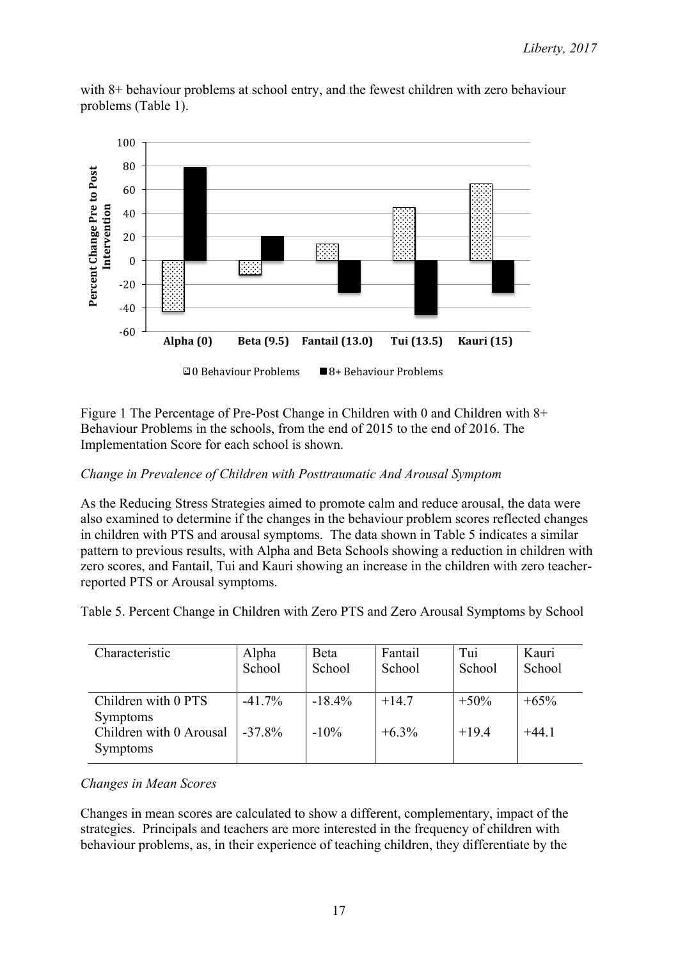

with 8+ behaviour problems at school entry, and the fewest children with zero behaviour problems (Table 1).

Figure 1 The Percentage of Pre-Post Change in Children with 0 and Children with 8+ Behaviour Problems in the schools, from the end of 2015 to the end of 2016. The Implementation Score for each school is shown.

# *Change in Prevalence of Children with Posttraumatic And Arousal Symptom*

As the Reducing Stress Strategies aimed to promote calm and reduce arousal, the data were also examined to determine if the changes in the behaviour problem scores reflected changes in children with PTS and arousal symptoms. The data shown in Table 5 indicates a similar pattern to previous results, with Alpha and Beta Schools showing a reduction in children with zero scores, and Fantail, Tui and Kauri showing an increase in the children with zero teacherreported PTS or Arousal symptoms.

Table 5. Percent Change in Children with Zero PTS and Zero Arousal Symptoms by School

| Characteristic                                                    | Alpha<br>School        | <b>B</b> eta<br>School | Fantail<br>School   | Tui<br>School      | Kauri<br>School   |
|-------------------------------------------------------------------|------------------------|------------------------|---------------------|--------------------|-------------------|
| Children with 0 PTS<br><b>Symptoms</b><br>Children with 0 Arousal | $-41.7\%$<br>$-37.8\%$ | $-18.4%$<br>$-10\%$    | $+14.7$<br>$+6.3\%$ | $+50\%$<br>$+19.4$ | $+65%$<br>$+44.1$ |
| <b>Symptoms</b>                                                   |                        |                        |                     |                    |                   |

## *Changes in Mean Scores*

Changes in mean scores are calculated to show a different, complementary, impact of the strategies. Principals and teachers are more interested in the frequency of children with behaviour problems, as, in their experience of teaching children, they differentiate by the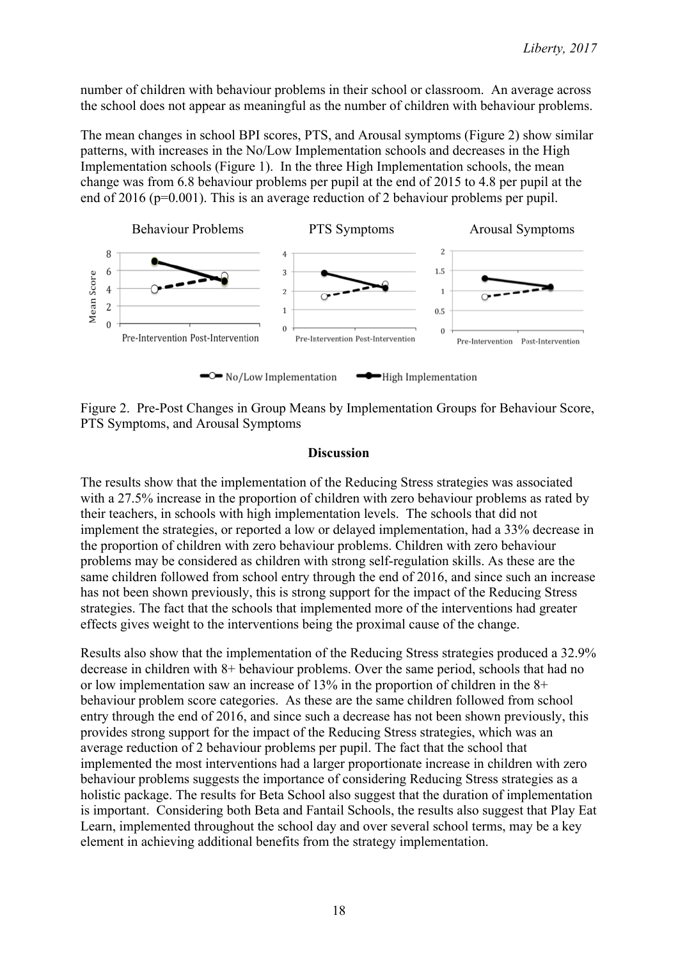number of children with behaviour problems in their school or classroom. An average across the school does not appear as meaningful as the number of children with behaviour problems.

The mean changes in school BPI scores, PTS, and Arousal symptoms (Figure 2) show similar patterns, with increases in the No/Low Implementation schools and decreases in the High Implementation schools (Figure 1). In the three High Implementation schools, the mean change was from 6.8 behaviour problems per pupil at the end of 2015 to 4.8 per pupil at the end of 2016 (p=0.001). This is an average reduction of 2 behaviour problems per pupil.



Figure 2. Pre-Post Changes in Group Means by Implementation Groups for Behaviour Score, PTS Symptoms, and Arousal Symptoms

#### **Discussion**

The results show that the implementation of the Reducing Stress strategies was associated with a 27.5% increase in the proportion of children with zero behaviour problems as rated by their teachers, in schools with high implementation levels. The schools that did not implement the strategies, or reported a low or delayed implementation, had a 33% decrease in the proportion of children with zero behaviour problems. Children with zero behaviour problems may be considered as children with strong self-regulation skills. As these are the same children followed from school entry through the end of 2016, and since such an increase has not been shown previously, this is strong support for the impact of the Reducing Stress strategies. The fact that the schools that implemented more of the interventions had greater effects gives weight to the interventions being the proximal cause of the change.

Results also show that the implementation of the Reducing Stress strategies produced a 32.9% decrease in children with 8+ behaviour problems. Over the same period, schools that had no or low implementation saw an increase of 13% in the proportion of children in the 8+ behaviour problem score categories. As these are the same children followed from school entry through the end of 2016, and since such a decrease has not been shown previously, this provides strong support for the impact of the Reducing Stress strategies, which was an average reduction of 2 behaviour problems per pupil. The fact that the school that implemented the most interventions had a larger proportionate increase in children with zero behaviour problems suggests the importance of considering Reducing Stress strategies as a holistic package. The results for Beta School also suggest that the duration of implementation is important. Considering both Beta and Fantail Schools, the results also suggest that Play Eat Learn, implemented throughout the school day and over several school terms, may be a key element in achieving additional benefits from the strategy implementation.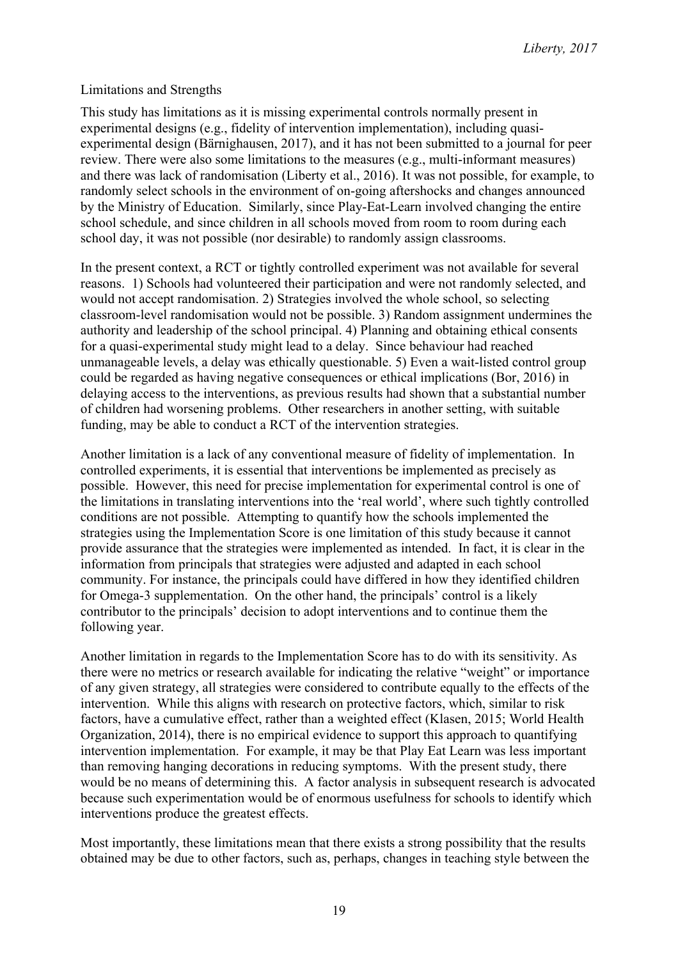### Limitations and Strengths

This study has limitations as it is missing experimental controls normally present in experimental designs (e.g., fidelity of intervention implementation), including quasiexperimental design (Bärnighausen, 2017), and it has not been submitted to a journal for peer review. There were also some limitations to the measures (e.g., multi-informant measures) and there was lack of randomisation (Liberty et al., 2016). It was not possible, for example, to randomly select schools in the environment of on-going aftershocks and changes announced by the Ministry of Education. Similarly, since Play-Eat-Learn involved changing the entire school schedule, and since children in all schools moved from room to room during each school day, it was not possible (nor desirable) to randomly assign classrooms.

In the present context, a RCT or tightly controlled experiment was not available for several reasons. 1) Schools had volunteered their participation and were not randomly selected, and would not accept randomisation. 2) Strategies involved the whole school, so selecting classroom-level randomisation would not be possible. 3) Random assignment undermines the authority and leadership of the school principal. 4) Planning and obtaining ethical consents for a quasi-experimental study might lead to a delay. Since behaviour had reached unmanageable levels, a delay was ethically questionable. 5) Even a wait-listed control group could be regarded as having negative consequences or ethical implications (Bor, 2016) in delaying access to the interventions, as previous results had shown that a substantial number of children had worsening problems. Other researchers in another setting, with suitable funding, may be able to conduct a RCT of the intervention strategies.

Another limitation is a lack of any conventional measure of fidelity of implementation. In controlled experiments, it is essential that interventions be implemented as precisely as possible. However, this need for precise implementation for experimental control is one of the limitations in translating interventions into the 'real world', where such tightly controlled conditions are not possible. Attempting to quantify how the schools implemented the strategies using the Implementation Score is one limitation of this study because it cannot provide assurance that the strategies were implemented as intended. In fact, it is clear in the information from principals that strategies were adjusted and adapted in each school community. For instance, the principals could have differed in how they identified children for Omega-3 supplementation. On the other hand, the principals' control is a likely contributor to the principals' decision to adopt interventions and to continue them the following year.

Another limitation in regards to the Implementation Score has to do with its sensitivity. As there were no metrics or research available for indicating the relative "weight" or importance of any given strategy, all strategies were considered to contribute equally to the effects of the intervention. While this aligns with research on protective factors, which, similar to risk factors, have a cumulative effect, rather than a weighted effect (Klasen, 2015; World Health Organization, 2014), there is no empirical evidence to support this approach to quantifying intervention implementation. For example, it may be that Play Eat Learn was less important than removing hanging decorations in reducing symptoms. With the present study, there would be no means of determining this. A factor analysis in subsequent research is advocated because such experimentation would be of enormous usefulness for schools to identify which interventions produce the greatest effects.

Most importantly, these limitations mean that there exists a strong possibility that the results obtained may be due to other factors, such as, perhaps, changes in teaching style between the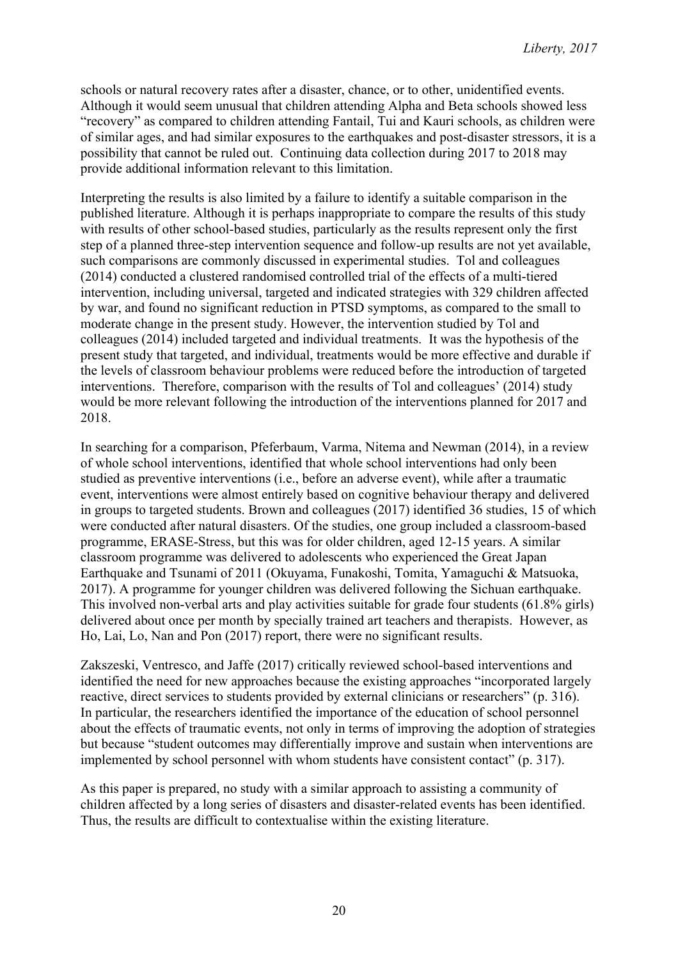schools or natural recovery rates after a disaster, chance, or to other, unidentified events. Although it would seem unusual that children attending Alpha and Beta schools showed less "recovery" as compared to children attending Fantail, Tui and Kauri schools, as children were of similar ages, and had similar exposures to the earthquakes and post-disaster stressors, it is a possibility that cannot be ruled out. Continuing data collection during 2017 to 2018 may provide additional information relevant to this limitation.

Interpreting the results is also limited by a failure to identify a suitable comparison in the published literature. Although it is perhaps inappropriate to compare the results of this study with results of other school-based studies, particularly as the results represent only the first step of a planned three-step intervention sequence and follow-up results are not yet available, such comparisons are commonly discussed in experimental studies. Tol and colleagues (2014) conducted a clustered randomised controlled trial of the effects of a multi-tiered intervention, including universal, targeted and indicated strategies with 329 children affected by war, and found no significant reduction in PTSD symptoms, as compared to the small to moderate change in the present study. However, the intervention studied by Tol and colleagues (2014) included targeted and individual treatments. It was the hypothesis of the present study that targeted, and individual, treatments would be more effective and durable if the levels of classroom behaviour problems were reduced before the introduction of targeted interventions. Therefore, comparison with the results of Tol and colleagues' (2014) study would be more relevant following the introduction of the interventions planned for 2017 and 2018.

In searching for a comparison, Pfeferbaum, Varma, Nitema and Newman (2014), in a review of whole school interventions, identified that whole school interventions had only been studied as preventive interventions (i.e., before an adverse event), while after a traumatic event, interventions were almost entirely based on cognitive behaviour therapy and delivered in groups to targeted students. Brown and colleagues (2017) identified 36 studies, 15 of which were conducted after natural disasters. Of the studies, one group included a classroom-based programme, ERASE-Stress, but this was for older children, aged 12-15 years. A similar classroom programme was delivered to adolescents who experienced the Great Japan Earthquake and Tsunami of 2011 (Okuyama, Funakoshi, Tomita, Yamaguchi & Matsuoka, 2017). A programme for younger children was delivered following the Sichuan earthquake. This involved non-verbal arts and play activities suitable for grade four students (61.8% girls) delivered about once per month by specially trained art teachers and therapists. However, as Ho, Lai, Lo, Nan and Pon (2017) report, there were no significant results.

Zakszeski, Ventresco, and Jaffe (2017) critically reviewed school-based interventions and identified the need for new approaches because the existing approaches "incorporated largely reactive, direct services to students provided by external clinicians or researchers" (p. 316). In particular, the researchers identified the importance of the education of school personnel about the effects of traumatic events, not only in terms of improving the adoption of strategies but because "student outcomes may differentially improve and sustain when interventions are implemented by school personnel with whom students have consistent contact" (p. 317).

As this paper is prepared, no study with a similar approach to assisting a community of children affected by a long series of disasters and disaster-related events has been identified. Thus, the results are difficult to contextualise within the existing literature.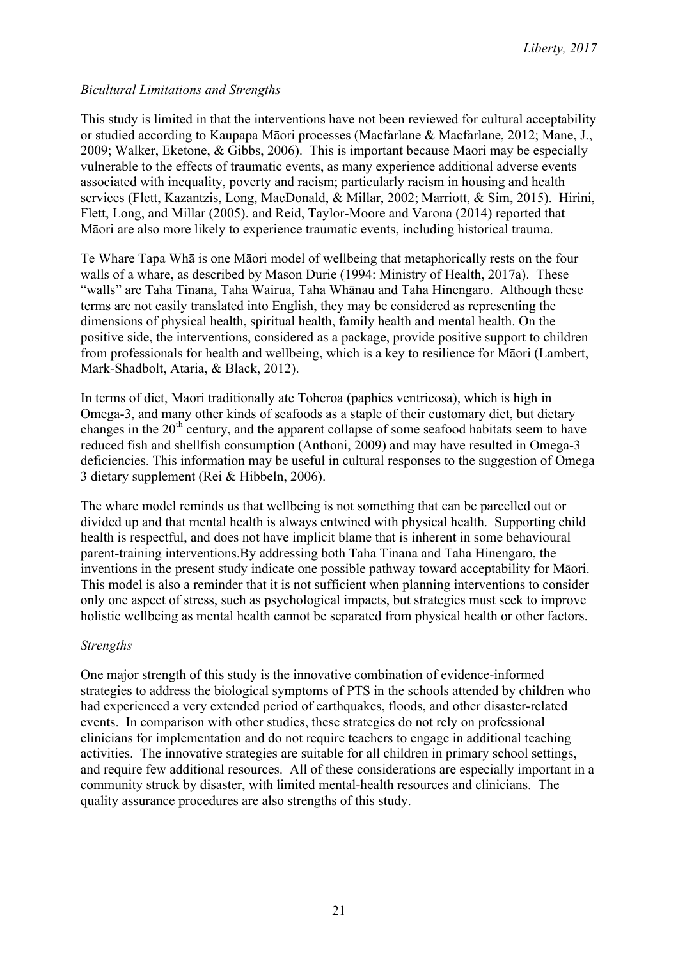## *Bicultural Limitations and Strengths*

This study is limited in that the interventions have not been reviewed for cultural acceptability or studied according to Kaupapa Māori processes (Macfarlane & Macfarlane, 2012; Mane, J., 2009; Walker, Eketone, & Gibbs, 2006). This is important because Maori may be especially vulnerable to the effects of traumatic events, as many experience additional adverse events associated with inequality, poverty and racism; particularly racism in housing and health services (Flett, Kazantzis, Long, MacDonald, & Millar, 2002; Marriott, & Sim, 2015). Hirini, Flett, Long, and Millar (2005). and Reid, Taylor-Moore and Varona (2014) reported that Māori are also more likely to experience traumatic events, including historical trauma.

Te Whare Tapa Whā is one Māori model of wellbeing that metaphorically rests on the four walls of a whare, as described by Mason Durie (1994: Ministry of Health, 2017a). These "walls" are Taha Tinana, Taha Wairua, Taha Whānau and Taha Hinengaro. Although these terms are not easily translated into English, they may be considered as representing the dimensions of physical health, spiritual health, family health and mental health. On the positive side, the interventions, considered as a package, provide positive support to children from professionals for health and wellbeing, which is a key to resilience for Māori (Lambert, Mark-Shadbolt, Ataria, & Black, 2012).

In terms of diet, Maori traditionally ate Toheroa (paphies ventricosa), which is high in Omega-3, and many other kinds of seafoods as a staple of their customary diet, but dietary changes in the  $20<sup>th</sup>$  century, and the apparent collapse of some seafood habitats seem to have reduced fish and shellfish consumption (Anthoni, 2009) and may have resulted in Omega-3 deficiencies. This information may be useful in cultural responses to the suggestion of Omega 3 dietary supplement (Rei & Hibbeln, 2006).

The whare model reminds us that wellbeing is not something that can be parcelled out or divided up and that mental health is always entwined with physical health. Supporting child health is respectful, and does not have implicit blame that is inherent in some behavioural parent-training interventions.By addressing both Taha Tinana and Taha Hinengaro, the inventions in the present study indicate one possible pathway toward acceptability for Māori. This model is also a reminder that it is not sufficient when planning interventions to consider only one aspect of stress, such as psychological impacts, but strategies must seek to improve holistic wellbeing as mental health cannot be separated from physical health or other factors.

#### *Strengths*

One major strength of this study is the innovative combination of evidence-informed strategies to address the biological symptoms of PTS in the schools attended by children who had experienced a very extended period of earthquakes, floods, and other disaster-related events. In comparison with other studies, these strategies do not rely on professional clinicians for implementation and do not require teachers to engage in additional teaching activities. The innovative strategies are suitable for all children in primary school settings, and require few additional resources. All of these considerations are especially important in a community struck by disaster, with limited mental-health resources and clinicians. The quality assurance procedures are also strengths of this study.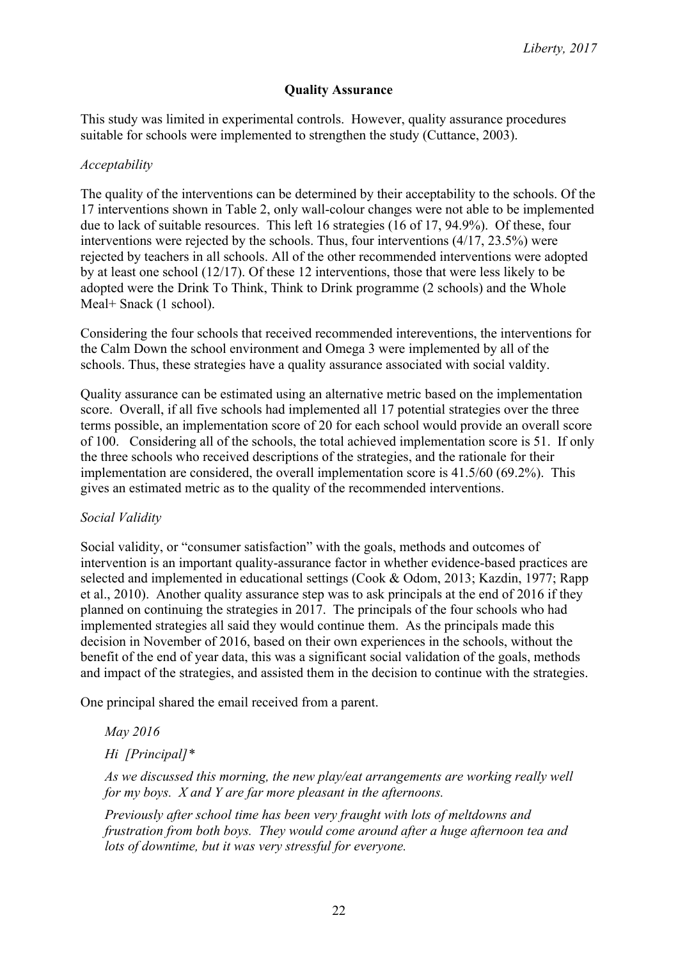### **Quality Assurance**

This study was limited in experimental controls. However, quality assurance procedures suitable for schools were implemented to strengthen the study (Cuttance, 2003).

#### *Acceptability*

The quality of the interventions can be determined by their acceptability to the schools. Of the 17 interventions shown in Table 2, only wall-colour changes were not able to be implemented due to lack of suitable resources. This left 16 strategies (16 of 17, 94.9%). Of these, four interventions were rejected by the schools. Thus, four interventions (4/17, 23.5%) were rejected by teachers in all schools. All of the other recommended interventions were adopted by at least one school (12/17). Of these 12 interventions, those that were less likely to be adopted were the Drink To Think, Think to Drink programme (2 schools) and the Whole Meal+ Snack (1 school).

Considering the four schools that received recommended intereventions, the interventions for the Calm Down the school environment and Omega 3 were implemented by all of the schools. Thus, these strategies have a quality assurance associated with social valdity.

Quality assurance can be estimated using an alternative metric based on the implementation score. Overall, if all five schools had implemented all 17 potential strategies over the three terms possible, an implementation score of 20 for each school would provide an overall score of 100. Considering all of the schools, the total achieved implementation score is 51. If only the three schools who received descriptions of the strategies, and the rationale for their implementation are considered, the overall implementation score is 41.5/60 (69.2%). This gives an estimated metric as to the quality of the recommended interventions.

## *Social Validity*

Social validity, or "consumer satisfaction" with the goals, methods and outcomes of intervention is an important quality-assurance factor in whether evidence-based practices are selected and implemented in educational settings (Cook & Odom, 2013; Kazdin, 1977; Rapp et al., 2010). Another quality assurance step was to ask principals at the end of 2016 if they planned on continuing the strategies in 2017. The principals of the four schools who had implemented strategies all said they would continue them. As the principals made this decision in November of 2016, based on their own experiences in the schools, without the benefit of the end of year data, this was a significant social validation of the goals, methods and impact of the strategies, and assisted them in the decision to continue with the strategies.

One principal shared the email received from a parent.

*May 2016*

*Hi [Principal]\**

*As we discussed this morning, the new play/eat arrangements are working really well for my boys. X and Y are far more pleasant in the afternoons.* 

*Previously after school time has been very fraught with lots of meltdowns and frustration from both boys. They would come around after a huge afternoon tea and lots of downtime, but it was very stressful for everyone.*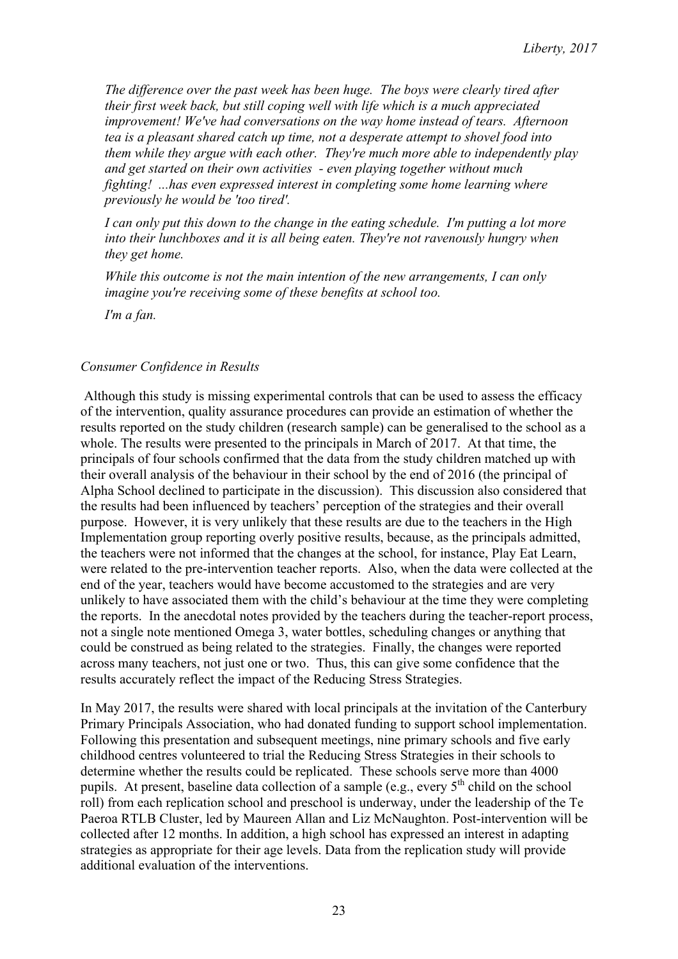*The difference over the past week has been huge. The boys were clearly tired after their first week back, but still coping well with life which is a much appreciated improvement! We've had conversations on the way home instead of tears. Afternoon tea is a pleasant shared catch up time, not a desperate attempt to shovel food into them while they argue with each other. They're much more able to independently play and get started on their own activities - even playing together without much fighting! ...has even expressed interest in completing some home learning where previously he would be 'too tired'.*

*I can only put this down to the change in the eating schedule. I'm putting a lot more into their lunchboxes and it is all being eaten. They're not ravenously hungry when they get home.*

*While this outcome is not the main intention of the new arrangements, I can only imagine you're receiving some of these benefits at school too.* 

*I'm a fan.*

#### *Consumer Confidence in Results*

Although this study is missing experimental controls that can be used to assess the efficacy of the intervention, quality assurance procedures can provide an estimation of whether the results reported on the study children (research sample) can be generalised to the school as a whole. The results were presented to the principals in March of 2017. At that time, the principals of four schools confirmed that the data from the study children matched up with their overall analysis of the behaviour in their school by the end of 2016 (the principal of Alpha School declined to participate in the discussion). This discussion also considered that the results had been influenced by teachers' perception of the strategies and their overall purpose. However, it is very unlikely that these results are due to the teachers in the High Implementation group reporting overly positive results, because, as the principals admitted, the teachers were not informed that the changes at the school, for instance, Play Eat Learn, were related to the pre-intervention teacher reports. Also, when the data were collected at the end of the year, teachers would have become accustomed to the strategies and are very unlikely to have associated them with the child's behaviour at the time they were completing the reports. In the anecdotal notes provided by the teachers during the teacher-report process, not a single note mentioned Omega 3, water bottles, scheduling changes or anything that could be construed as being related to the strategies. Finally, the changes were reported across many teachers, not just one or two. Thus, this can give some confidence that the results accurately reflect the impact of the Reducing Stress Strategies.

In May 2017, the results were shared with local principals at the invitation of the Canterbury Primary Principals Association, who had donated funding to support school implementation. Following this presentation and subsequent meetings, nine primary schools and five early childhood centres volunteered to trial the Reducing Stress Strategies in their schools to determine whether the results could be replicated. These schools serve more than 4000 pupils. At present, baseline data collection of a sample (e.g., every  $5<sup>th</sup>$  child on the school roll) from each replication school and preschool is underway, under the leadership of the Te Paeroa RTLB Cluster, led by Maureen Allan and Liz McNaughton. Post-intervention will be collected after 12 months. In addition, a high school has expressed an interest in adapting strategies as appropriate for their age levels. Data from the replication study will provide additional evaluation of the interventions.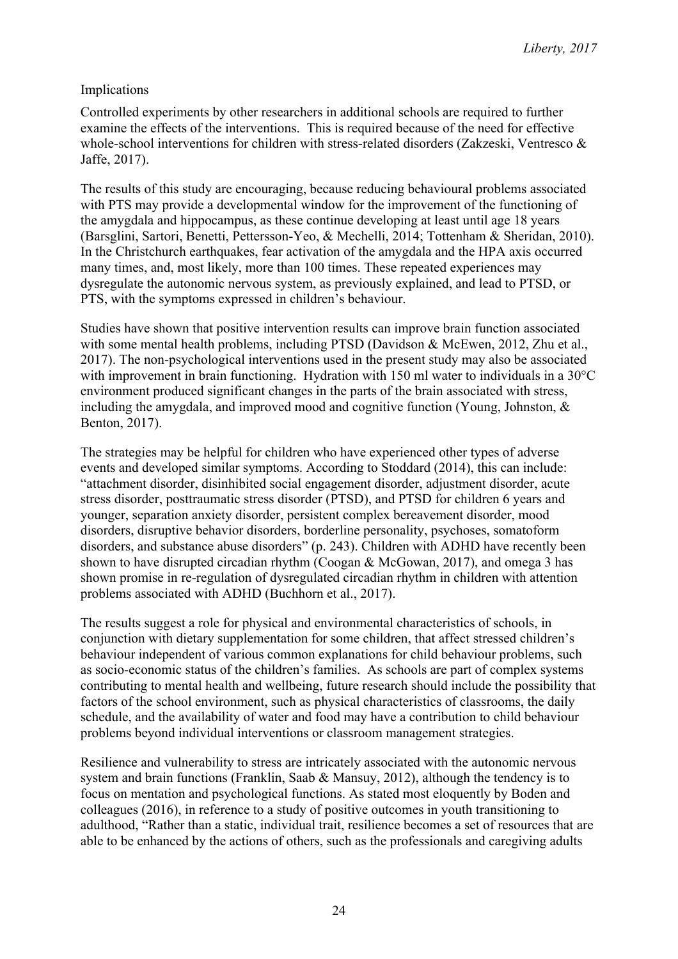### Implications

Controlled experiments by other researchers in additional schools are required to further examine the effects of the interventions. This is required because of the need for effective whole-school interventions for children with stress-related disorders (Zakzeski, Ventresco & Jaffe, 2017).

The results of this study are encouraging, because reducing behavioural problems associated with PTS may provide a developmental window for the improvement of the functioning of the amygdala and hippocampus, as these continue developing at least until age 18 years (Barsglini, Sartori, Benetti, Pettersson-Yeo, & Mechelli, 2014; Tottenham & Sheridan, 2010). In the Christchurch earthquakes, fear activation of the amygdala and the HPA axis occurred many times, and, most likely, more than 100 times. These repeated experiences may dysregulate the autonomic nervous system, as previously explained, and lead to PTSD, or PTS, with the symptoms expressed in children's behaviour.

Studies have shown that positive intervention results can improve brain function associated with some mental health problems, including PTSD (Davidson & McEwen, 2012, Zhu et al., 2017). The non-psychological interventions used in the present study may also be associated with improvement in brain functioning. Hydration with 150 ml water to individuals in a 30°C environment produced significant changes in the parts of the brain associated with stress, including the amygdala, and improved mood and cognitive function (Young, Johnston, & Benton, 2017).

The strategies may be helpful for children who have experienced other types of adverse events and developed similar symptoms. According to Stoddard (2014), this can include: "attachment disorder, disinhibited social engagement disorder, adjustment disorder, acute stress disorder, posttraumatic stress disorder (PTSD), and PTSD for children 6 years and younger, separation anxiety disorder, persistent complex bereavement disorder, mood disorders, disruptive behavior disorders, borderline personality, psychoses, somatoform disorders, and substance abuse disorders" (p. 243). Children with ADHD have recently been shown to have disrupted circadian rhythm (Coogan & McGowan, 2017), and omega 3 has shown promise in re-regulation of dysregulated circadian rhythm in children with attention problems associated with ADHD (Buchhorn et al., 2017).

The results suggest a role for physical and environmental characteristics of schools, in conjunction with dietary supplementation for some children, that affect stressed children's behaviour independent of various common explanations for child behaviour problems, such as socio-economic status of the children's families. As schools are part of complex systems contributing to mental health and wellbeing, future research should include the possibility that factors of the school environment, such as physical characteristics of classrooms, the daily schedule, and the availability of water and food may have a contribution to child behaviour problems beyond individual interventions or classroom management strategies.

Resilience and vulnerability to stress are intricately associated with the autonomic nervous system and brain functions (Franklin, Saab & Mansuy, 2012), although the tendency is to focus on mentation and psychological functions. As stated most eloquently by Boden and colleagues (2016), in reference to a study of positive outcomes in youth transitioning to adulthood, "Rather than a static, individual trait, resilience becomes a set of resources that are able to be enhanced by the actions of others, such as the professionals and caregiving adults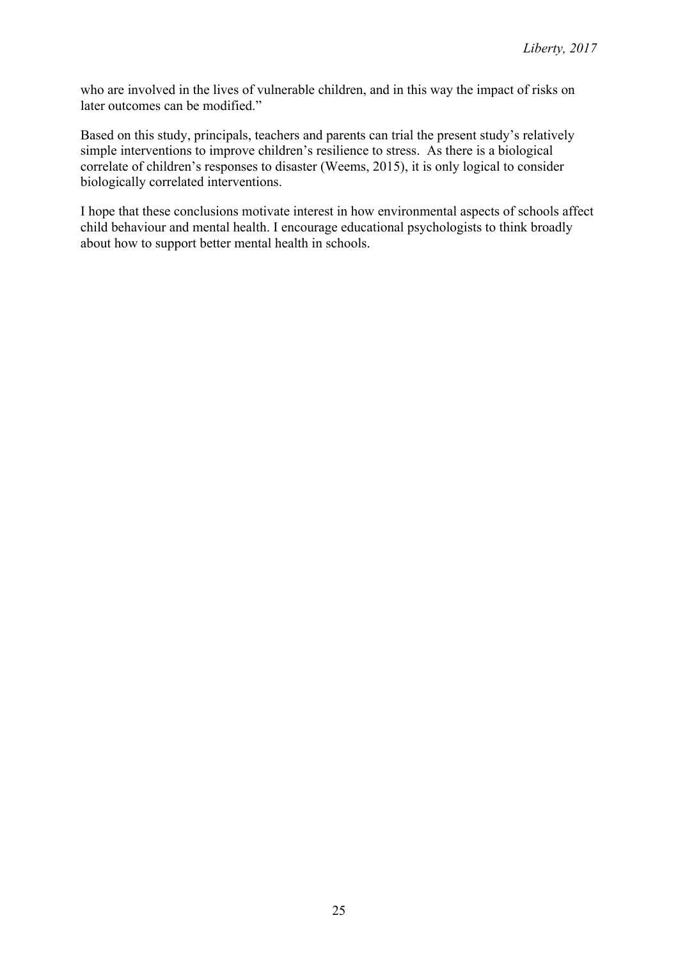who are involved in the lives of vulnerable children, and in this way the impact of risks on later outcomes can be modified."

Based on this study, principals, teachers and parents can trial the present study's relatively simple interventions to improve children's resilience to stress. As there is a biological correlate of children's responses to disaster (Weems, 2015), it is only logical to consider biologically correlated interventions.

I hope that these conclusions motivate interest in how environmental aspects of schools affect child behaviour and mental health. I encourage educational psychologists to think broadly about how to support better mental health in schools.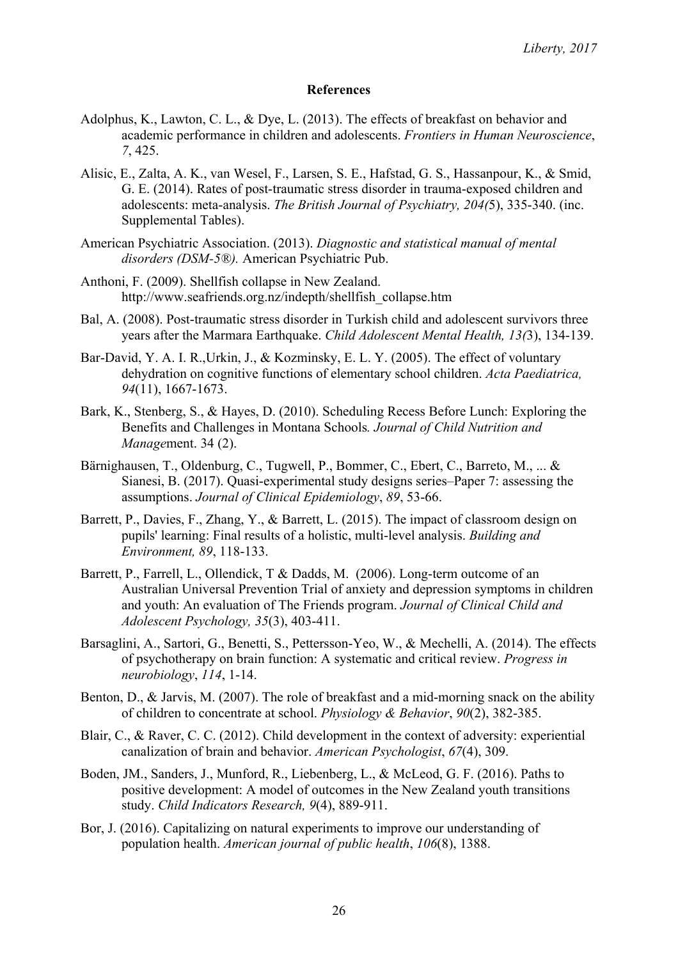#### **References**

- Adolphus, K., Lawton, C. L., & Dye, L. (2013). The effects of breakfast on behavior and academic performance in children and adolescents. *Frontiers in Human Neuroscience*, *7*, 425.
- Alisic, E., Zalta, A. K., van Wesel, F., Larsen, S. E., Hafstad, G. S., Hassanpour, K., & Smid, G. E. (2014). Rates of post-traumatic stress disorder in trauma-exposed children and adolescents: meta-analysis. *The British Journal of Psychiatry, 204(*5), 335-340. (inc. Supplemental Tables).
- American Psychiatric Association. (2013). *Diagnostic and statistical manual of mental disorders (DSM-5®).* American Psychiatric Pub.
- Anthoni, F. (2009). Shellfish collapse in New Zealand. http://www.seafriends.org.nz/indepth/shellfish\_collapse.htm
- Bal, A. (2008). Post-traumatic stress disorder in Turkish child and adolescent survivors three years after the Marmara Earthquake. *Child Adolescent Mental Health, 13(*3), 134-139.
- Bar-David, Y. A. I. R.,Urkin, J., & Kozminsky, E. L. Y. (2005). The effect of voluntary dehydration on cognitive functions of elementary school children. *Acta Paediatrica, 94*(11), 1667-1673.
- Bark, K., Stenberg, S., & Hayes, D. (2010). Scheduling Recess Before Lunch: Exploring the Benefits and Challenges in Montana Schools*. Journal of Child Nutrition and Manage*ment. 34 (2).
- Bärnighausen, T., Oldenburg, C., Tugwell, P., Bommer, C., Ebert, C., Barreto, M., ... & Sianesi, B. (2017). Quasi-experimental study designs series–Paper 7: assessing the assumptions. *Journal of Clinical Epidemiology*, *89*, 53-66.
- Barrett, P., Davies, F., Zhang, Y., & Barrett, L. (2015). The impact of classroom design on pupils' learning: Final results of a holistic, multi-level analysis. *Building and Environment, 89*, 118-133.
- Barrett, P., Farrell, L., Ollendick, T & Dadds, M. (2006). Long-term outcome of an Australian Universal Prevention Trial of anxiety and depression symptoms in children and youth: An evaluation of The Friends program. *Journal of Clinical Child and Adolescent Psychology, 35*(3), 403-411.
- Barsaglini, A., Sartori, G., Benetti, S., Pettersson-Yeo, W., & Mechelli, A. (2014). The effects of psychotherapy on brain function: A systematic and critical review. *Progress in neurobiology*, *114*, 1-14.
- Benton, D., & Jarvis, M. (2007). The role of breakfast and a mid-morning snack on the ability of children to concentrate at school. *Physiology & Behavior*, *90*(2), 382-385.
- Blair, C., & Raver, C. C. (2012). Child development in the context of adversity: experiential canalization of brain and behavior. *American Psychologist*, *67*(4), 309.
- Boden, JM., Sanders, J., Munford, R., Liebenberg, L., & McLeod, G. F. (2016). Paths to positive development: A model of outcomes in the New Zealand youth transitions study. *Child Indicators Research, 9*(4), 889-911.
- Bor, J. (2016). Capitalizing on natural experiments to improve our understanding of population health. *American journal of public health*, *106*(8), 1388.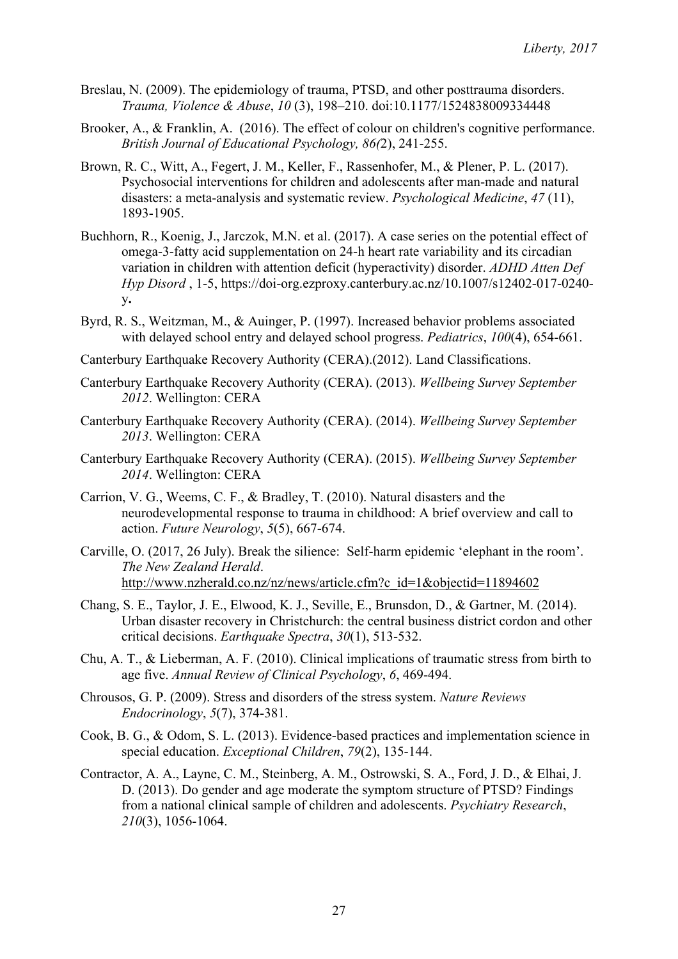- Breslau, N. (2009). The epidemiology of trauma, PTSD, and other posttrauma disorders. *Trauma, Violence & Abuse*, *10* (3), 198–210. doi:10.1177/1524838009334448
- Brooker, A., & Franklin, A. (2016). The effect of colour on children's cognitive performance. *British Journal of Educational Psychology, 86(*2), 241-255.
- Brown, R. C., Witt, A., Fegert, J. M., Keller, F., Rassenhofer, M., & Plener, P. L. (2017). Psychosocial interventions for children and adolescents after man-made and natural disasters: a meta-analysis and systematic review. *Psychological Medicine*, *47* (11), 1893-1905.
- Buchhorn, R., Koenig, J., Jarczok, M.N. et al. (2017). A case series on the potential effect of omega-3-fatty acid supplementation on 24-h heart rate variability and its circadian variation in children with attention deficit (hyperactivity) disorder. *ADHD Atten Def Hyp Disord* , 1-5, https://doi-org.ezproxy.canterbury.ac.nz/10.1007/s12402-017-0240 y**.**
- Byrd, R. S., Weitzman, M., & Auinger, P. (1997). Increased behavior problems associated with delayed school entry and delayed school progress. *Pediatrics*, *100*(4), 654-661.
- Canterbury Earthquake Recovery Authority (CERA).(2012). Land Classifications.
- Canterbury Earthquake Recovery Authority (CERA). (2013). *Wellbeing Survey September 2012*. Wellington: CERA
- Canterbury Earthquake Recovery Authority (CERA). (2014). *Wellbeing Survey September 2013*. Wellington: CERA
- Canterbury Earthquake Recovery Authority (CERA). (2015). *Wellbeing Survey September 2014*. Wellington: CERA
- Carrion, V. G., Weems, C. F., & Bradley, T. (2010). Natural disasters and the neurodevelopmental response to trauma in childhood: A brief overview and call to action. *Future Neurology*, *5*(5), 667-674.
- Carville, O. (2017, 26 July). Break the silience: Self-harm epidemic 'elephant in the room'. *The New Zealand Herald*. http://www.nzherald.co.nz/nz/news/article.cfm?c\_id=1&objectid=11894602
- Chang, S. E., Taylor, J. E., Elwood, K. J., Seville, E., Brunsdon, D., & Gartner, M. (2014). Urban disaster recovery in Christchurch: the central business district cordon and other critical decisions. *Earthquake Spectra*, *30*(1), 513-532.
- Chu, A. T., & Lieberman, A. F. (2010). Clinical implications of traumatic stress from birth to age five. *Annual Review of Clinical Psychology*, *6*, 469-494.
- Chrousos, G. P. (2009). Stress and disorders of the stress system. *Nature Reviews Endocrinology*, *5*(7), 374-381.
- Cook, B. G., & Odom, S. L. (2013). Evidence-based practices and implementation science in special education. *Exceptional Children*, *79*(2), 135-144.
- Contractor, A. A., Layne, C. M., Steinberg, A. M., Ostrowski, S. A., Ford, J. D., & Elhai, J. D. (2013). Do gender and age moderate the symptom structure of PTSD? Findings from a national clinical sample of children and adolescents. *Psychiatry Research*, *210*(3), 1056-1064.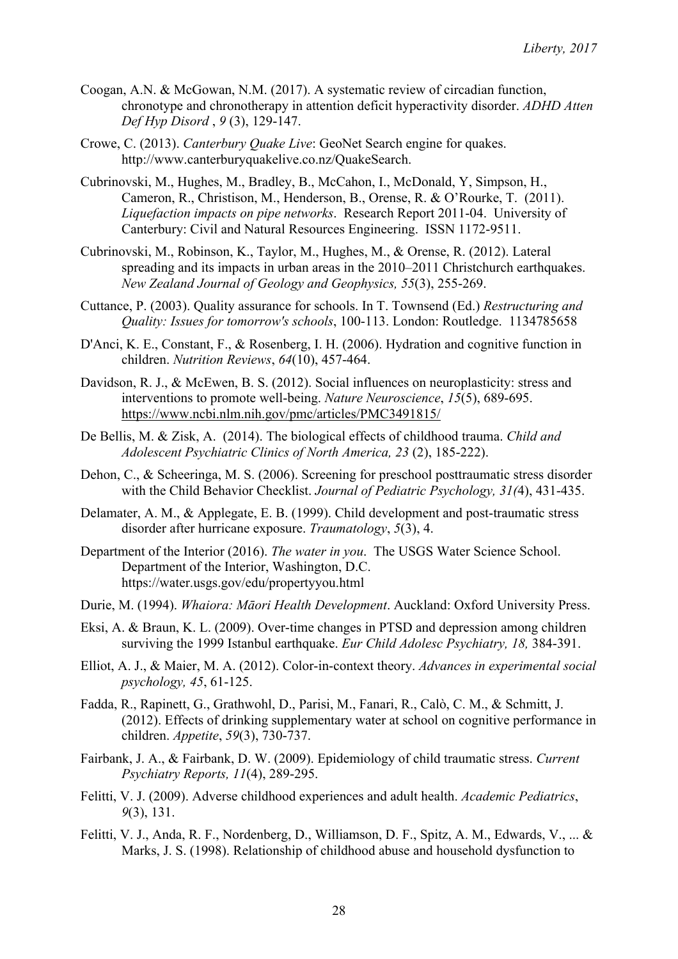- Coogan, A.N. & McGowan, N.M. (2017). A systematic review of circadian function, chronotype and chronotherapy in attention deficit hyperactivity disorder. *ADHD Atten Def Hyp Disord* , *9* (3), 129-147.
- Crowe, C. (2013). *Canterbury Quake Live*: GeoNet Search engine for quakes. http://www.canterburyquakelive.co.nz/QuakeSearch.
- Cubrinovski, M., Hughes, M., Bradley, B., McCahon, I., McDonald, Y, Simpson, H., Cameron, R., Christison, M., Henderson, B., Orense, R. & O'Rourke, T. (2011). *Liquefaction impacts on pipe networks*. Research Report 2011-04. University of Canterbury: Civil and Natural Resources Engineering. ISSN 1172-9511.
- Cubrinovski, M., Robinson, K., Taylor, M., Hughes, M., & Orense, R. (2012). Lateral spreading and its impacts in urban areas in the 2010–2011 Christchurch earthquakes. *New Zealand Journal of Geology and Geophysics, 55*(3), 255-269.
- Cuttance, P. (2003). Quality assurance for schools. In T. Townsend (Ed.) *Restructuring and Quality: Issues for tomorrow's schools*, 100-113. London: Routledge. 1134785658
- D'Anci, K. E., Constant, F., & Rosenberg, I. H. (2006). Hydration and cognitive function in children. *Nutrition Reviews*, *64*(10), 457-464.
- Davidson, R. J., & McEwen, B. S. (2012). Social influences on neuroplasticity: stress and interventions to promote well-being. *Nature Neuroscience*, *15*(5), 689-695. https://www.ncbi.nlm.nih.gov/pmc/articles/PMC3491815/
- De Bellis, M. & Zisk, A. (2014). The biological effects of childhood trauma. *Child and Adolescent Psychiatric Clinics of North America, 23* (2), 185-222).
- Dehon, C., & Scheeringa, M. S. (2006). Screening for preschool posttraumatic stress disorder with the Child Behavior Checklist. *Journal of Pediatric Psychology, 31(*4), 431-435.
- Delamater, A. M., & Applegate, E. B. (1999). Child development and post-traumatic stress disorder after hurricane exposure. *Traumatology*, *5*(3), 4.
- Department of the Interior (2016). *The water in you*. The USGS Water Science School. Department of the Interior, Washington, D.C. https://water.usgs.gov/edu/propertyyou.html
- Durie, M. (1994). *Whaiora: Māori Health Development*. Auckland: Oxford University Press.
- Eksi, A. & Braun, K. L. (2009). Over-time changes in PTSD and depression among children surviving the 1999 Istanbul earthquake. *Eur Child Adolesc Psychiatry, 18,* 384-391.
- Elliot, A. J., & Maier, M. A. (2012). Color-in-context theory. *Advances in experimental social psychology, 45*, 61-125.
- Fadda, R., Rapinett, G., Grathwohl, D., Parisi, M., Fanari, R., Calò, C. M., & Schmitt, J. (2012). Effects of drinking supplementary water at school on cognitive performance in children. *Appetite*, *59*(3), 730-737.
- Fairbank, J. A., & Fairbank, D. W. (2009). Epidemiology of child traumatic stress. *Current Psychiatry Reports, 11*(4), 289-295.
- Felitti, V. J. (2009). Adverse childhood experiences and adult health. *Academic Pediatrics*, *9*(3), 131.
- Felitti, V. J., Anda, R. F., Nordenberg, D., Williamson, D. F., Spitz, A. M., Edwards, V., ... & Marks, J. S. (1998). Relationship of childhood abuse and household dysfunction to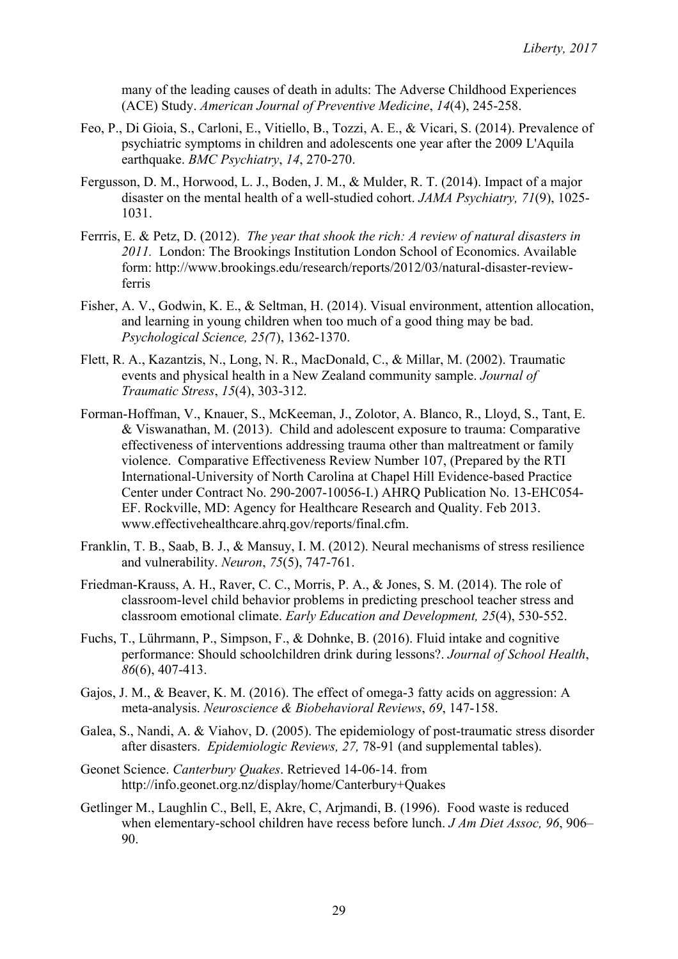many of the leading causes of death in adults: The Adverse Childhood Experiences (ACE) Study. *American Journal of Preventive Medicine*, *14*(4), 245-258.

- Feo, P., Di Gioia, S., Carloni, E., Vitiello, B., Tozzi, A. E., & Vicari, S. (2014). Prevalence of psychiatric symptoms in children and adolescents one year after the 2009 L'Aquila earthquake. *BMC Psychiatry*, *14*, 270-270.
- Fergusson, D. M., Horwood, L. J., Boden, J. M., & Mulder, R. T. (2014). Impact of a major disaster on the mental health of a well-studied cohort. *JAMA Psychiatry, 71*(9), 1025- 1031.
- Ferrris, E. & Petz, D. (2012). *The year that shook the rich: A review of natural disasters in 2011.* London: The Brookings Institution London School of Economics. Available form: http://www.brookings.edu/research/reports/2012/03/natural-disaster-reviewferris
- Fisher, A. V., Godwin, K. E., & Seltman, H. (2014). Visual environment, attention allocation, and learning in young children when too much of a good thing may be bad. *Psychological Science, 25(*7), 1362-1370.
- Flett, R. A., Kazantzis, N., Long, N. R., MacDonald, C., & Millar, M. (2002). Traumatic events and physical health in a New Zealand community sample. *Journal of Traumatic Stress*, *15*(4), 303-312.
- Forman-Hoffman, V., Knauer, S., McKeeman, J., Zolotor, A. Blanco, R., Lloyd, S., Tant, E. & Viswanathan, M. (2013). Child and adolescent exposure to trauma: Comparative effectiveness of interventions addressing trauma other than maltreatment or family violence. Comparative Effectiveness Review Number 107, (Prepared by the RTI International-University of North Carolina at Chapel Hill Evidence-based Practice Center under Contract No. 290-2007-10056-I.) AHRQ Publication No. 13-EHC054- EF. Rockville, MD: Agency for Healthcare Research and Quality. Feb 2013. www.effectivehealthcare.ahrq.gov/reports/final.cfm.
- Franklin, T. B., Saab, B. J., & Mansuy, I. M. (2012). Neural mechanisms of stress resilience and vulnerability. *Neuron*, *75*(5), 747-761.
- Friedman-Krauss, A. H., Raver, C. C., Morris, P. A., & Jones, S. M. (2014). The role of classroom-level child behavior problems in predicting preschool teacher stress and classroom emotional climate. *Early Education and Development, 25*(4), 530-552.
- Fuchs, T., Lührmann, P., Simpson, F., & Dohnke, B. (2016). Fluid intake and cognitive performance: Should schoolchildren drink during lessons?. *Journal of School Health*, *86*(6), 407-413.
- Gajos, J. M., & Beaver, K. M. (2016). The effect of omega-3 fatty acids on aggression: A meta-analysis. *Neuroscience & Biobehavioral Reviews*, *69*, 147-158.
- Galea, S., Nandi, A. & Viahov, D. (2005). The epidemiology of post-traumatic stress disorder after disasters. *Epidemiologic Reviews, 27,* 78-91 (and supplemental tables).
- Geonet Science. *Canterbury Quakes*. Retrieved 14-06-14. from http://info.geonet.org.nz/display/home/Canterbury+Quakes
- Getlinger M., Laughlin C., Bell, E, Akre, C, Arjmandi, B. (1996). Food waste is reduced when elementary-school children have recess before lunch. *J Am Diet Assoc, 96*, 906– 90.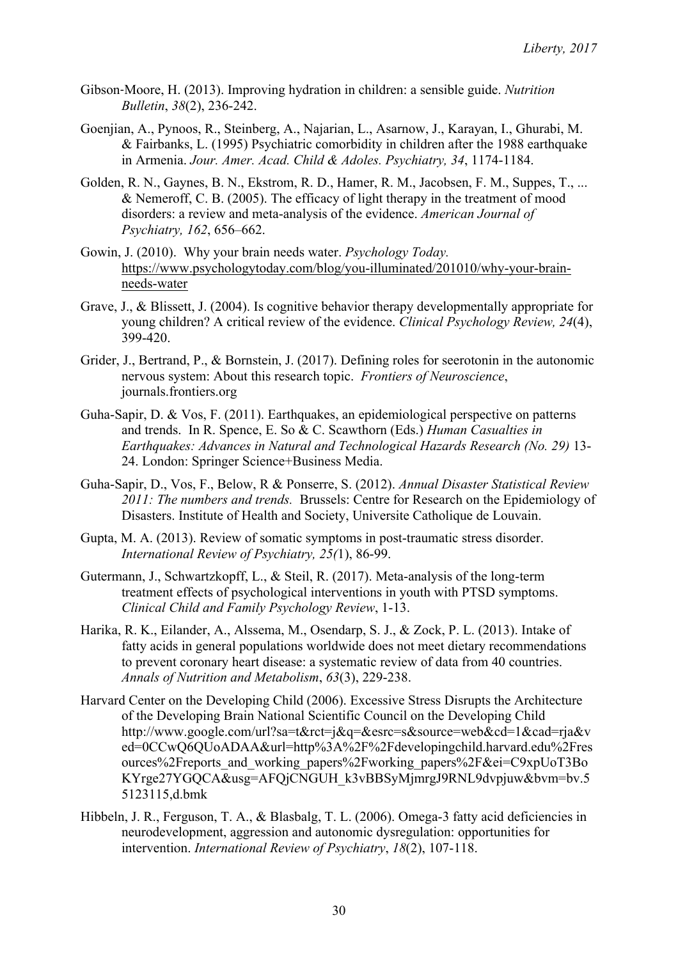- Gibson‐Moore, H. (2013). Improving hydration in children: a sensible guide. *Nutrition Bulletin*, *38*(2), 236-242.
- Goenjian, A., Pynoos, R., Steinberg, A., Najarian, L., Asarnow, J., Karayan, I., Ghurabi, M. & Fairbanks, L. (1995) Psychiatric comorbidity in children after the 1988 earthquake in Armenia. *Jour. Amer. Acad. Child & Adoles. Psychiatry, 34*, 1174-1184.
- Golden, R. N., Gaynes, B. N., Ekstrom, R. D., Hamer, R. M., Jacobsen, F. M., Suppes, T., ... & Nemeroff, C. B. (2005). The efficacy of light therapy in the treatment of mood disorders: a review and meta-analysis of the evidence. *American Journal of Psychiatry, 162*, 656–662.
- Gowin, J. (2010). Why your brain needs water. *Psychology Today.*  https://www.psychologytoday.com/blog/you-illuminated/201010/why-your-brainneeds-water
- Grave, J., & Blissett, J. (2004). Is cognitive behavior therapy developmentally appropriate for young children? A critical review of the evidence. *Clinical Psychology Review, 24*(4), 399-420.
- Grider, J., Bertrand, P., & Bornstein, J. (2017). Defining roles for seerotonin in the autonomic nervous system: About this research topic. *Frontiers of Neuroscience*, journals.frontiers.org
- Guha-Sapir, D. & Vos, F. (2011). Earthquakes, an epidemiological perspective on patterns and trends. In R. Spence, E. So & C. Scawthorn (Eds.) *Human Casualties in Earthquakes: Advances in Natural and Technological Hazards Research (No. 29)* 13- 24. London: Springer Science+Business Media.
- Guha-Sapir, D., Vos, F., Below, R & Ponserre, S. (2012). *Annual Disaster Statistical Review 2011: The numbers and trends.* Brussels: Centre for Research on the Epidemiology of Disasters. Institute of Health and Society, Universite Catholique de Louvain.
- Gupta, M. A. (2013). Review of somatic symptoms in post-traumatic stress disorder. *International Review of Psychiatry, 25(*1), 86-99.
- Gutermann, J., Schwartzkopff, L., & Steil, R. (2017). Meta-analysis of the long-term treatment effects of psychological interventions in youth with PTSD symptoms. *Clinical Child and Family Psychology Review*, 1-13.
- Harika, R. K., Eilander, A., Alssema, M., Osendarp, S. J., & Zock, P. L. (2013). Intake of fatty acids in general populations worldwide does not meet dietary recommendations to prevent coronary heart disease: a systematic review of data from 40 countries. *Annals of Nutrition and Metabolism*, *63*(3), 229-238.
- Harvard Center on the Developing Child (2006). Excessive Stress Disrupts the Architecture of the Developing Brain National Scientific Council on the Developing Child http://www.google.com/url?sa=t&rct=j&q=&esrc=s&source=web&cd=1&cad=rja&v ed=0CCwQ6QUoADAA&url=http%3A%2F%2Fdevelopingchild.harvard.edu%2Fres ources%2Freports and working papers%2Fworking papers%2F&ei=C9xpUoT3Bo KYrge27YGOCA&usg=AFOjCNGUH\_k3vBBSyMjmrgJ9RNL9dvpjuw&bvm=bv.5 5123115,d.bmk
- Hibbeln, J. R., Ferguson, T. A., & Blasbalg, T. L. (2006). Omega-3 fatty acid deficiencies in neurodevelopment, aggression and autonomic dysregulation: opportunities for intervention. *International Review of Psychiatry*, *18*(2), 107-118.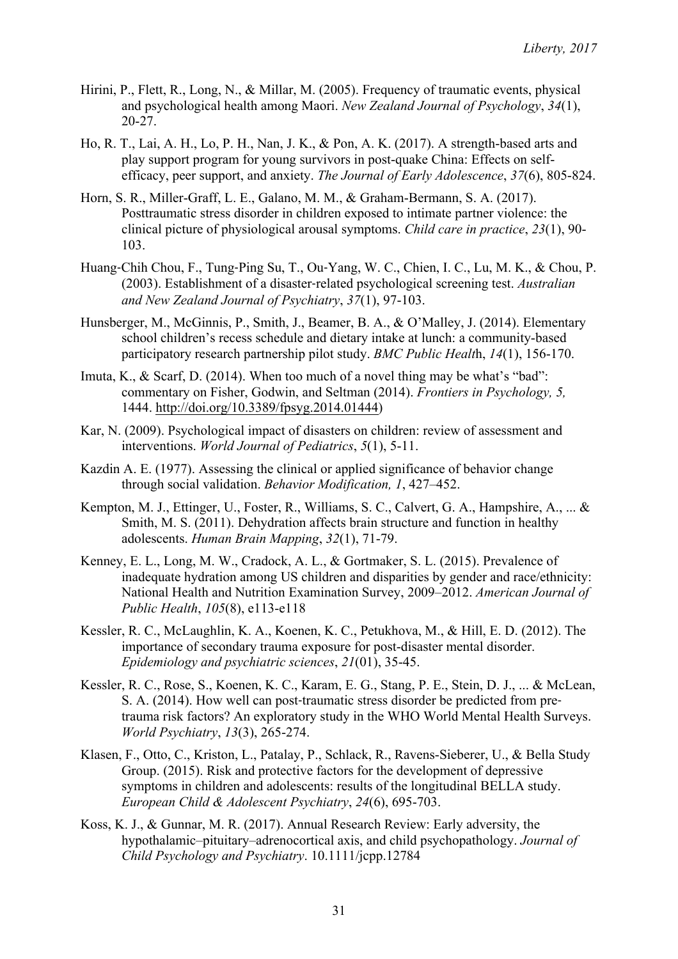- Hirini, P., Flett, R., Long, N., & Millar, M. (2005). Frequency of traumatic events, physical and psychological health among Maori. *New Zealand Journal of Psychology*, *34*(1), 20-27.
- Ho, R. T., Lai, A. H., Lo, P. H., Nan, J. K., & Pon, A. K. (2017). A strength-based arts and play support program for young survivors in post-quake China: Effects on selfefficacy, peer support, and anxiety. *The Journal of Early Adolescence*, *37*(6), 805-824.
- Horn, S. R., Miller-Graff, L. E., Galano, M. M., & Graham-Bermann, S. A. (2017). Posttraumatic stress disorder in children exposed to intimate partner violence: the clinical picture of physiological arousal symptoms. *Child care in practice*, *23*(1), 90- 103.
- Huang‐Chih Chou, F., Tung‐Ping Su, T., Ou‐Yang, W. C., Chien, I. C., Lu, M. K., & Chou, P. (2003). Establishment of a disaster‐related psychological screening test. *Australian and New Zealand Journal of Psychiatry*, *37*(1), 97-103.
- Hunsberger, M., McGinnis, P., Smith, J., Beamer, B. A., & O'Malley, J. (2014). Elementary school children's recess schedule and dietary intake at lunch: a community-based participatory research partnership pilot study. *BMC Public Healt*h, *14*(1), 156-170.
- Imuta, K., & Scarf, D. (2014). When too much of a novel thing may be what's "bad": commentary on Fisher, Godwin, and Seltman (2014). *Frontiers in Psychology, 5,* 1444. http://doi.org/10.3389/fpsyg.2014.01444)
- Kar, N. (2009). Psychological impact of disasters on children: review of assessment and interventions. *World Journal of Pediatrics*, *5*(1), 5-11.
- Kazdin A. E. (1977). Assessing the clinical or applied significance of behavior change through social validation. *Behavior Modification, 1*, 427–452.
- Kempton, M. J., Ettinger, U., Foster, R., Williams, S. C., Calvert, G. A., Hampshire, A., ... & Smith, M. S. (2011). Dehydration affects brain structure and function in healthy adolescents. *Human Brain Mapping*, *32*(1), 71-79.
- Kenney, E. L., Long, M. W., Cradock, A. L., & Gortmaker, S. L. (2015). Prevalence of inadequate hydration among US children and disparities by gender and race/ethnicity: National Health and Nutrition Examination Survey, 2009–2012. *American Journal of Public Health*, *105*(8), e113-e118
- Kessler, R. C., McLaughlin, K. A., Koenen, K. C., Petukhova, M., & Hill, E. D. (2012). The importance of secondary trauma exposure for post-disaster mental disorder. *Epidemiology and psychiatric sciences*, *21*(01), 35-45.
- Kessler, R. C., Rose, S., Koenen, K. C., Karam, E. G., Stang, P. E., Stein, D. J., ... & McLean, S. A. (2014). How well can post-traumatic stress disorder be predicted from pretrauma risk factors? An exploratory study in the WHO World Mental Health Surveys. *World Psychiatry*, *13*(3), 265-274.
- Klasen, F., Otto, C., Kriston, L., Patalay, P., Schlack, R., Ravens-Sieberer, U., & Bella Study Group. (2015). Risk and protective factors for the development of depressive symptoms in children and adolescents: results of the longitudinal BELLA study. *European Child & Adolescent Psychiatry*, *24*(6), 695-703.
- Koss, K. J., & Gunnar, M. R. (2017). Annual Research Review: Early adversity, the hypothalamic–pituitary–adrenocortical axis, and child psychopathology. *Journal of Child Psychology and Psychiatry*. 10.1111/jcpp.12784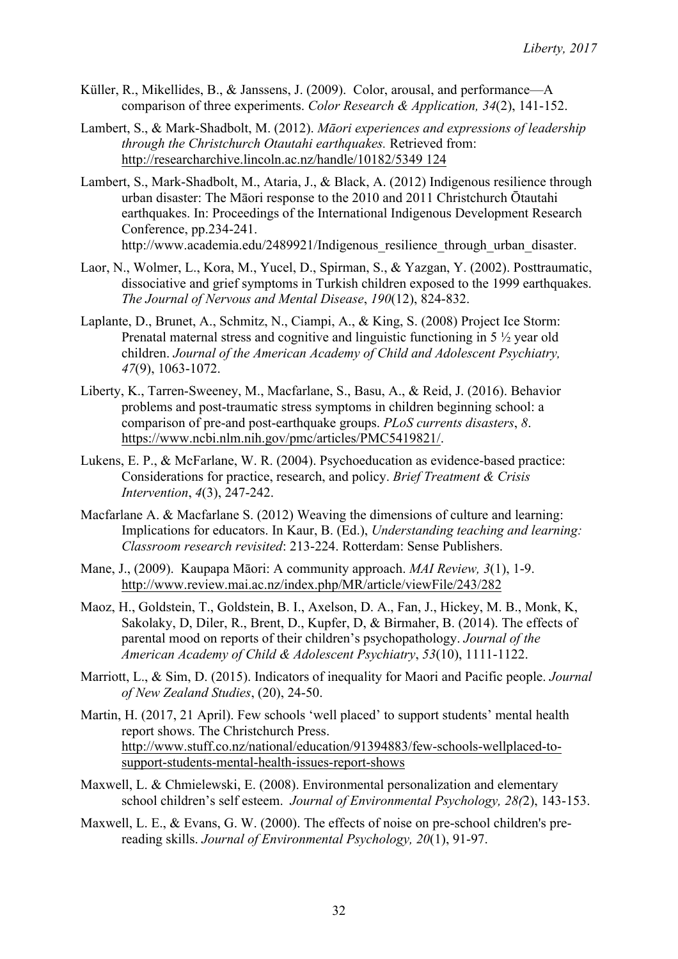- Küller, R., Mikellides, B., & Janssens, J. (2009). Color, arousal, and performance—A comparison of three experiments. *Color Research & Application, 34*(2), 141-152.
- Lambert, S., & Mark-Shadbolt, M. (2012). *Māori experiences and expressions of leadership through the Christchurch Otautahi earthquakes.* Retrieved from: http://researcharchive.lincoln.ac.nz/handle/10182/5349 124
- Lambert, S., Mark-Shadbolt, M., Ataria, J., & Black, A. (2012) Indigenous resilience through urban disaster: The Māori response to the 2010 and 2011 Christchurch Ōtautahi earthquakes. In: Proceedings of the International Indigenous Development Research Conference, pp.234-241. http://www.academia.edu/2489921/Indigenous resilience through urban disaster.
- Laor, N., Wolmer, L., Kora, M., Yucel, D., Spirman, S., & Yazgan, Y. (2002). Posttraumatic, dissociative and grief symptoms in Turkish children exposed to the 1999 earthquakes. *The Journal of Nervous and Mental Disease*, *190*(12), 824-832.
- Laplante, D., Brunet, A., Schmitz, N., Ciampi, A., & King, S. (2008) Project Ice Storm: Prenatal maternal stress and cognitive and linguistic functioning in 5 ½ year old children. *Journal of the American Academy of Child and Adolescent Psychiatry, 47*(9), 1063-1072.
- Liberty, K., Tarren-Sweeney, M., Macfarlane, S., Basu, A., & Reid, J. (2016). Behavior problems and post-traumatic stress symptoms in children beginning school: a comparison of pre-and post-earthquake groups. *PLoS currents disasters*, *8*. https://www.ncbi.nlm.nih.gov/pmc/articles/PMC5419821/.
- Lukens, E. P., & McFarlane, W. R. (2004). Psychoeducation as evidence-based practice: Considerations for practice, research, and policy. *Brief Treatment & Crisis Intervention*, *4*(3), 247-242.
- Macfarlane A. & Macfarlane S. (2012) Weaving the dimensions of culture and learning: Implications for educators. In Kaur, B. (Ed.), *Understanding teaching and learning: Classroom research revisited*: 213-224. Rotterdam: Sense Publishers.
- Mane, J., (2009). Kaupapa Māori: A community approach. *MAI Review, 3*(1), 1-9. http://www.review.mai.ac.nz/index.php/MR/article/viewFile/243/282
- Maoz, H., Goldstein, T., Goldstein, B. I., Axelson, D. A., Fan, J., Hickey, M. B., Monk, K, Sakolaky, D, Diler, R., Brent, D., Kupfer, D, & Birmaher, B. (2014). The effects of parental mood on reports of their children's psychopathology. *Journal of the American Academy of Child & Adolescent Psychiatry*, *53*(10), 1111-1122.
- Marriott, L., & Sim, D. (2015). Indicators of inequality for Maori and Pacific people. *Journal of New Zealand Studies*, (20), 24-50.
- Martin, H. (2017, 21 April). Few schools 'well placed' to support students' mental health report shows. The Christchurch Press. http://www.stuff.co.nz/national/education/91394883/few-schools-wellplaced-tosupport-students-mental-health-issues-report-shows
- Maxwell, L. & Chmielewski, E. (2008). Environmental personalization and elementary school children's self esteem. *Journal of Environmental Psychology, 28(*2), 143-153.
- Maxwell, L. E., & Evans, G. W. (2000). The effects of noise on pre-school children's prereading skills. *Journal of Environmental Psychology, 20*(1), 91-97.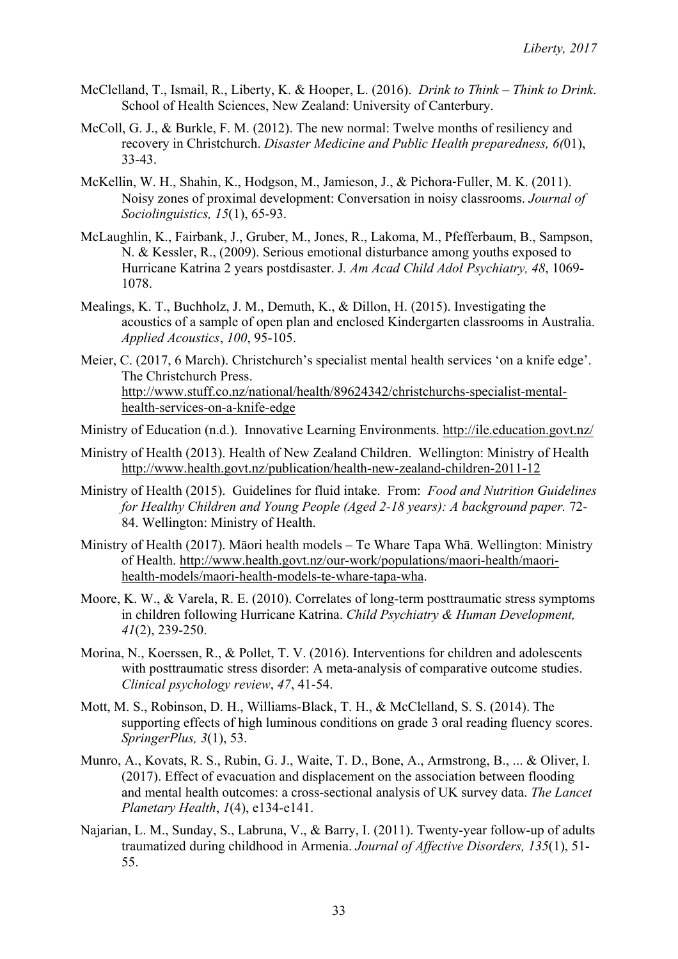- McClelland, T., Ismail, R., Liberty, K. & Hooper, L. (2016). *Drink to Think – Think to Drink*. School of Health Sciences, New Zealand: University of Canterbury.
- McColl, G. J., & Burkle, F. M. (2012). The new normal: Twelve months of resiliency and recovery in Christchurch. *Disaster Medicine and Public Health preparedness, 6(*01), 33-43.
- McKellin, W. H., Shahin, K., Hodgson, M., Jamieson, J., & Pichora‐Fuller, M. K. (2011). Noisy zones of proximal development: Conversation in noisy classrooms. *Journal of Sociolinguistics, 15*(1), 65-93.
- McLaughlin, K., Fairbank, J., Gruber, M., Jones, R., Lakoma, M., Pfefferbaum, B., Sampson, N. & Kessler, R., (2009). Serious emotional disturbance among youths exposed to Hurricane Katrina 2 years postdisaster. J*. Am Acad Child Adol Psychiatry, 48*, 1069- 1078.
- Mealings, K. T., Buchholz, J. M., Demuth, K., & Dillon, H. (2015). Investigating the acoustics of a sample of open plan and enclosed Kindergarten classrooms in Australia. *Applied Acoustics*, *100*, 95-105.
- Meier, C. (2017, 6 March). Christchurch's specialist mental health services 'on a knife edge'. The Christchurch Press. http://www.stuff.co.nz/national/health/89624342/christchurchs-specialist-mentalhealth-services-on-a-knife-edge

Ministry of Education (n.d.). Innovative Learning Environments. http://ile.education.govt.nz/

- Ministry of Health (2013). Health of New Zealand Children. Wellington: Ministry of Health http://www.health.govt.nz/publication/health-new-zealand-children-2011-12
- Ministry of Health (2015). Guidelines for fluid intake. From: *Food and Nutrition Guidelines for Healthy Children and Young People (Aged 2-18 years): A background paper.* 72- 84. Wellington: Ministry of Health.
- Ministry of Health (2017). Māori health models Te Whare Tapa Whā. Wellington: Ministry of Health. http://www.health.govt.nz/our-work/populations/maori-health/maorihealth-models/maori-health-models-te-whare-tapa-wha.
- Moore, K. W., & Varela, R. E. (2010). Correlates of long-term posttraumatic stress symptoms in children following Hurricane Katrina. *Child Psychiatry & Human Development, 41*(2), 239-250.
- Morina, N., Koerssen, R., & Pollet, T. V. (2016). Interventions for children and adolescents with posttraumatic stress disorder: A meta-analysis of comparative outcome studies. *Clinical psychology review*, *47*, 41-54.
- Mott, M. S., Robinson, D. H., Williams-Black, T. H., & McClelland, S. S. (2014). The supporting effects of high luminous conditions on grade 3 oral reading fluency scores. *SpringerPlus, 3*(1), 53.
- Munro, A., Kovats, R. S., Rubin, G. J., Waite, T. D., Bone, A., Armstrong, B., ... & Oliver, I. (2017). Effect of evacuation and displacement on the association between flooding and mental health outcomes: a cross-sectional analysis of UK survey data. *The Lancet Planetary Health*, *1*(4), e134-e141.
- Najarian, L. M., Sunday, S., Labruna, V., & Barry, I. (2011). Twenty-year follow-up of adults traumatized during childhood in Armenia. *Journal of Affective Disorders, 135*(1), 51- 55.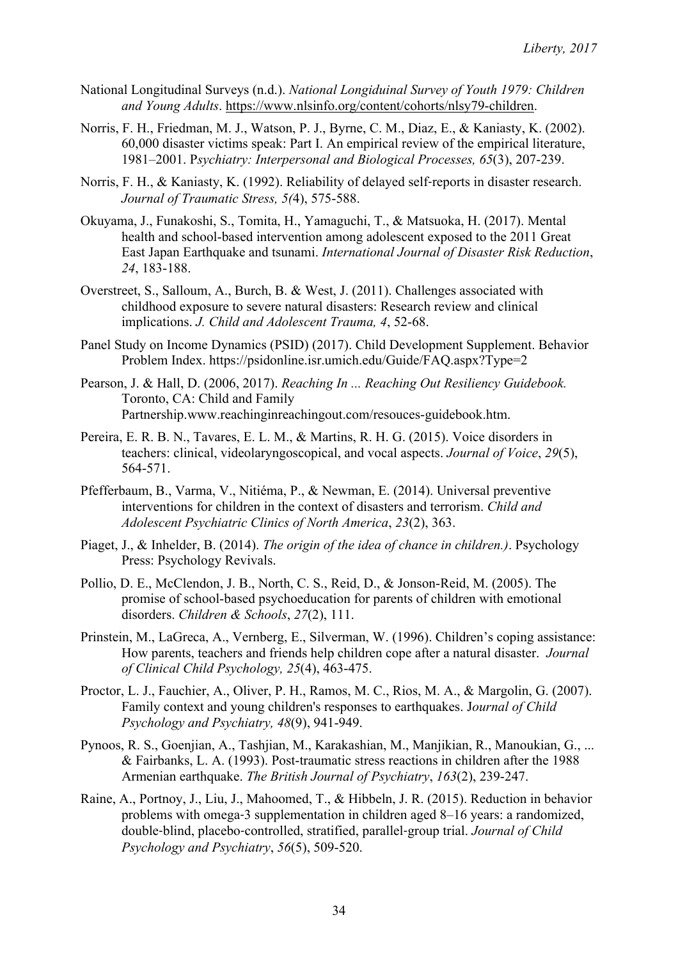- National Longitudinal Surveys (n.d.). *National Longiduinal Survey of Youth 1979: Children and Young Adults*. https://www.nlsinfo.org/content/cohorts/nlsy79-children.
- Norris, F. H., Friedman, M. J., Watson, P. J., Byrne, C. M., Diaz, E., & Kaniasty, K. (2002). 60,000 disaster victims speak: Part I. An empirical review of the empirical literature, 1981–2001. P*sychiatry: Interpersonal and Biological Processes, 65*(3), 207-239.
- Norris, F. H., & Kaniasty, K. (1992). Reliability of delayed self‐reports in disaster research. *Journal of Traumatic Stress, 5(*4), 575-588.
- Okuyama, J., Funakoshi, S., Tomita, H., Yamaguchi, T., & Matsuoka, H. (2017). Mental health and school-based intervention among adolescent exposed to the 2011 Great East Japan Earthquake and tsunami. *International Journal of Disaster Risk Reduction*, *24*, 183-188.
- Overstreet, S., Salloum, A., Burch, B. & West, J. (2011). Challenges associated with childhood exposure to severe natural disasters: Research review and clinical implications. *J. Child and Adolescent Trauma, 4*, 52-68.
- Panel Study on Income Dynamics (PSID) (2017). Child Development Supplement. Behavior Problem Index. https://psidonline.isr.umich.edu/Guide/FAQ.aspx?Type=2
- Pearson, J. & Hall, D. (2006, 2017). *Reaching In ... Reaching Out Resiliency Guidebook.* Toronto, CA: Child and Family Partnership.www.reachinginreachingout.com/resouces-guidebook.htm.
- Pereira, E. R. B. N., Tavares, E. L. M., & Martins, R. H. G. (2015). Voice disorders in teachers: clinical, videolaryngoscopical, and vocal aspects. *Journal of Voice*, *29*(5), 564-571.
- Pfefferbaum, B., Varma, V., Nitiéma, P., & Newman, E. (2014). Universal preventive interventions for children in the context of disasters and terrorism. *Child and Adolescent Psychiatric Clinics of North America*, *23*(2), 363.
- Piaget, J., & Inhelder, B. (2014). *The origin of the idea of chance in children.)*. Psychology Press: Psychology Revivals.
- Pollio, D. E., McClendon, J. B., North, C. S., Reid, D., & Jonson-Reid, M. (2005). The promise of school-based psychoeducation for parents of children with emotional disorders. *Children & Schools*, *27*(2), 111.
- Prinstein, M., LaGreca, A., Vernberg, E., Silverman, W. (1996). Children's coping assistance: How parents, teachers and friends help children cope after a natural disaster. *Journal of Clinical Child Psychology, 25*(4), 463-475.
- Proctor, L. J., Fauchier, A., Oliver, P. H., Ramos, M. C., Rios, M. A., & Margolin, G. (2007). Family context and young children's responses to earthquakes. J*ournal of Child Psychology and Psychiatry, 48*(9), 941-949.
- Pynoos, R. S., Goenjian, A., Tashjian, M., Karakashian, M., Manjikian, R., Manoukian, G., ... & Fairbanks, L. A. (1993). Post-traumatic stress reactions in children after the 1988 Armenian earthquake. *The British Journal of Psychiatry*, *163*(2), 239-247.
- Raine, A., Portnoy, J., Liu, J., Mahoomed, T., & Hibbeln, J. R. (2015). Reduction in behavior problems with omega‐3 supplementation in children aged 8–16 years: a randomized, double‐blind, placebo‐controlled, stratified, parallel‐group trial. *Journal of Child Psychology and Psychiatry*, *56*(5), 509-520.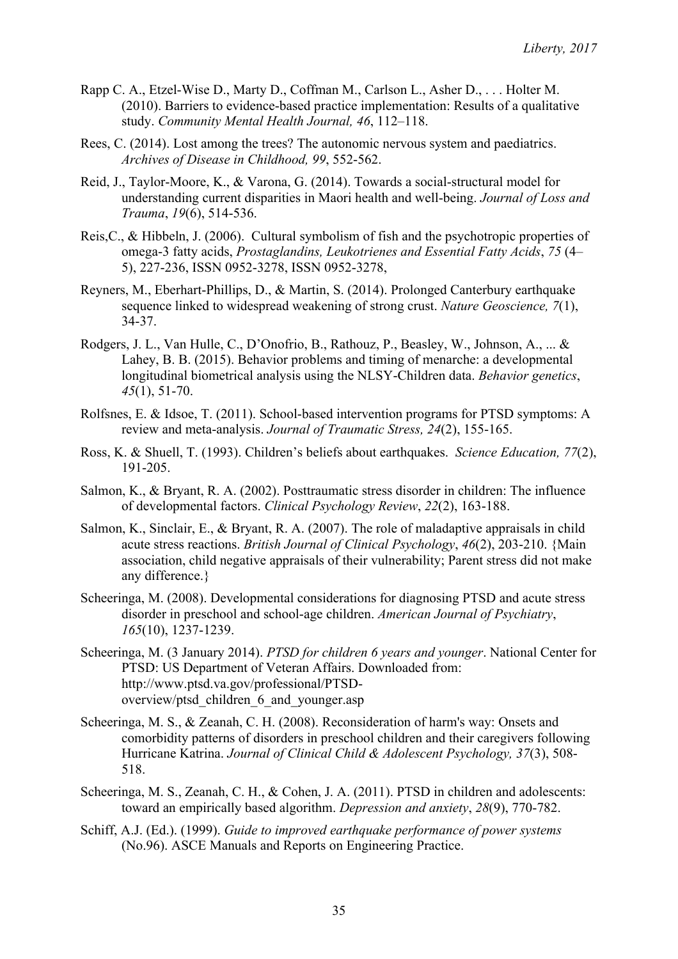- Rapp C. A., Etzel-Wise D., Marty D., Coffman M., Carlson L., Asher D., . . . Holter M. (2010). Barriers to evidence-based practice implementation: Results of a qualitative study. *Community Mental Health Journal, 46*, 112–118.
- Rees, C. (2014). Lost among the trees? The autonomic nervous system and paediatrics. *Archives of Disease in Childhood, 99*, 552-562.
- Reid, J., Taylor-Moore, K., & Varona, G. (2014). Towards a social-structural model for understanding current disparities in Maori health and well-being. *Journal of Loss and Trauma*, *19*(6), 514-536.
- Reis,C., & Hibbeln, J. (2006). Cultural symbolism of fish and the psychotropic properties of omega-3 fatty acids, *Prostaglandins, Leukotrienes and Essential Fatty Acids*, *75* (4– 5), 227-236, ISSN 0952-3278, ISSN 0952-3278,
- Reyners, M., Eberhart-Phillips, D., & Martin, S. (2014). Prolonged Canterbury earthquake sequence linked to widespread weakening of strong crust. *Nature Geoscience, 7*(1), 34-37.
- Rodgers, J. L., Van Hulle, C., D'Onofrio, B., Rathouz, P., Beasley, W., Johnson, A., ... & Lahey, B. B. (2015). Behavior problems and timing of menarche: a developmental longitudinal biometrical analysis using the NLSY-Children data. *Behavior genetics*, *45*(1), 51-70.
- Rolfsnes, E. & Idsoe, T. (2011). School-based intervention programs for PTSD symptoms: A review and meta-analysis. *Journal of Traumatic Stress, 24*(2), 155-165.
- Ross, K. & Shuell, T. (1993). Children's beliefs about earthquakes. *Science Education, 77*(2), 191-205.
- Salmon, K., & Bryant, R. A. (2002). Posttraumatic stress disorder in children: The influence of developmental factors. *Clinical Psychology Review*, *22*(2), 163-188.
- Salmon, K., Sinclair, E., & Bryant, R. A. (2007). The role of maladaptive appraisals in child acute stress reactions. *British Journal of Clinical Psychology*, *46*(2), 203-210. {Main association, child negative appraisals of their vulnerability; Parent stress did not make any difference.}
- Scheeringa, M. (2008). Developmental considerations for diagnosing PTSD and acute stress disorder in preschool and school-age children. *American Journal of Psychiatry*, *165*(10), 1237-1239.
- Scheeringa, M. (3 January 2014). *PTSD for children 6 years and younger*. National Center for PTSD: US Department of Veteran Affairs. Downloaded from: http://www.ptsd.va.gov/professional/PTSDoverview/ptsd children 6 and younger.asp
- Scheeringa, M. S., & Zeanah, C. H. (2008). Reconsideration of harm's way: Onsets and comorbidity patterns of disorders in preschool children and their caregivers following Hurricane Katrina. *Journal of Clinical Child & Adolescent Psychology, 37*(3), 508- 518.
- Scheeringa, M. S., Zeanah, C. H., & Cohen, J. A. (2011). PTSD in children and adolescents: toward an empirically based algorithm. *Depression and anxiety*, *28*(9), 770-782.
- Schiff, A.J. (Ed.). (1999). *Guide to improved earthquake performance of power systems*  (No.96). ASCE Manuals and Reports on Engineering Practice.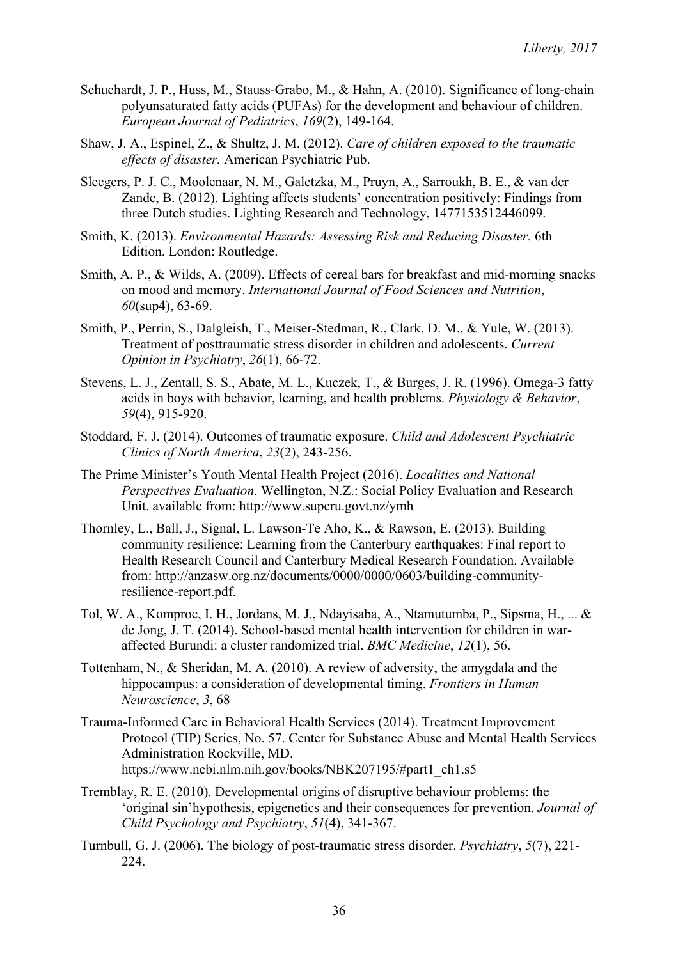- Schuchardt, J. P., Huss, M., Stauss-Grabo, M., & Hahn, A. (2010). Significance of long-chain polyunsaturated fatty acids (PUFAs) for the development and behaviour of children. *European Journal of Pediatrics*, *169*(2), 149-164.
- Shaw, J. A., Espinel, Z., & Shultz, J. M. (2012). *Care of children exposed to the traumatic effects of disaster.* American Psychiatric Pub.
- Sleegers, P. J. C., Moolenaar, N. M., Galetzka, M., Pruyn, A., Sarroukh, B. E., & van der Zande, B. (2012). Lighting affects students' concentration positively: Findings from three Dutch studies. Lighting Research and Technology, 1477153512446099.
- Smith, K. (2013). *Environmental Hazards: Assessing Risk and Reducing Disaster.* 6th Edition. London: Routledge.
- Smith, A. P., & Wilds, A. (2009). Effects of cereal bars for breakfast and mid-morning snacks on mood and memory. *International Journal of Food Sciences and Nutrition*, *60*(sup4), 63-69.
- Smith, P., Perrin, S., Dalgleish, T., Meiser-Stedman, R., Clark, D. M., & Yule, W. (2013). Treatment of posttraumatic stress disorder in children and adolescents. *Current Opinion in Psychiatry*, *26*(1), 66-72.
- Stevens, L. J., Zentall, S. S., Abate, M. L., Kuczek, T., & Burges, J. R. (1996). Omega-3 fatty acids in boys with behavior, learning, and health problems. *Physiology & Behavior*, *59*(4), 915-920.
- Stoddard, F. J. (2014). Outcomes of traumatic exposure. *Child and Adolescent Psychiatric Clinics of North America*, *23*(2), 243-256.
- The Prime Minister's Youth Mental Health Project (2016). *Localities and National Perspectives Evaluation*. Wellington, N.Z.: Social Policy Evaluation and Research Unit. available from: http://www.superu.govt.nz/ymh
- Thornley, L., Ball, J., Signal, L. Lawson-Te Aho, K., & Rawson, E. (2013). Building community resilience: Learning from the Canterbury earthquakes: Final report to Health Research Council and Canterbury Medical Research Foundation. Available from: http://anzasw.org.nz/documents/0000/0000/0603/building-communityresilience-report.pdf.
- Tol, W. A., Komproe, I. H., Jordans, M. J., Ndayisaba, A., Ntamutumba, P., Sipsma, H., ... & de Jong, J. T. (2014). School-based mental health intervention for children in waraffected Burundi: a cluster randomized trial. *BMC Medicine*, *12*(1), 56.
- Tottenham, N., & Sheridan, M. A. (2010). A review of adversity, the amygdala and the hippocampus: a consideration of developmental timing. *Frontiers in Human Neuroscience*, *3*, 68
- Trauma-Informed Care in Behavioral Health Services (2014). Treatment Improvement Protocol (TIP) Series, No. 57. Center for Substance Abuse and Mental Health Services Administration Rockville, MD. https://www.ncbi.nlm.nih.gov/books/NBK207195/#part1\_ch1.s5
- Tremblay, R. E. (2010). Developmental origins of disruptive behaviour problems: the 'original sin'hypothesis, epigenetics and their consequences for prevention. *Journal of Child Psychology and Psychiatry*, *51*(4), 341-367.
- Turnbull, G. J. (2006). The biology of post-traumatic stress disorder. *Psychiatry*, *5*(7), 221- 224.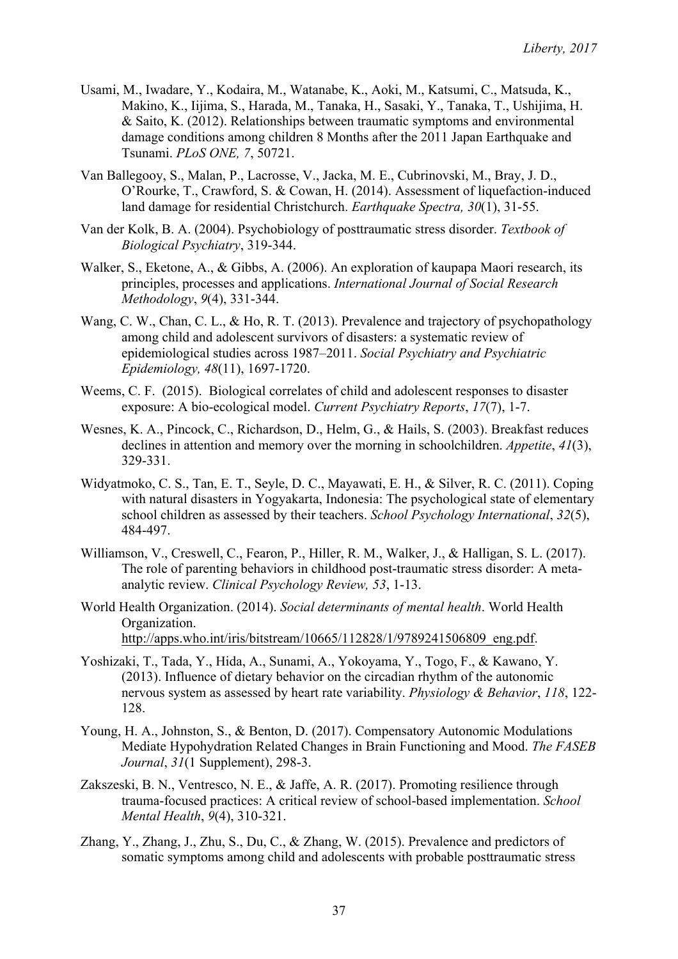- Usami, M., Iwadare, Y., Kodaira, M., Watanabe, K., Aoki, M., Katsumi, C., Matsuda, K., Makino, K., Iijima, S., Harada, M., Tanaka, H., Sasaki, Y., Tanaka, T., Ushijima, H. & Saito, K. (2012). Relationships between traumatic symptoms and environmental damage conditions among children 8 Months after the 2011 Japan Earthquake and Tsunami. *PLoS ONE, 7*, 50721.
- Van Ballegooy, S., Malan, P., Lacrosse, V., Jacka, M. E., Cubrinovski, M., Bray, J. D., O'Rourke, T., Crawford, S. & Cowan, H. (2014). Assessment of liquefaction-induced land damage for residential Christchurch. *Earthquake Spectra, 30*(1), 31-55.
- Van der Kolk, B. A. (2004). Psychobiology of posttraumatic stress disorder. *Textbook of Biological Psychiatry*, 319-344.
- Walker, S., Eketone, A., & Gibbs, A. (2006). An exploration of kaupapa Maori research, its principles, processes and applications. *International Journal of Social Research Methodology*, *9*(4), 331-344.
- Wang, C. W., Chan, C. L., & Ho, R. T. (2013). Prevalence and trajectory of psychopathology among child and adolescent survivors of disasters: a systematic review of epidemiological studies across 1987–2011. *Social Psychiatry and Psychiatric Epidemiology, 48*(11), 1697-1720.
- Weems, C. F. (2015). Biological correlates of child and adolescent responses to disaster exposure: A bio-ecological model. *Current Psychiatry Reports*, *17*(7), 1-7.
- Wesnes, K. A., Pincock, C., Richardson, D., Helm, G., & Hails, S. (2003). Breakfast reduces declines in attention and memory over the morning in schoolchildren. *Appetite*, *41*(3), 329-331.
- Widyatmoko, C. S., Tan, E. T., Seyle, D. C., Mayawati, E. H., & Silver, R. C. (2011). Coping with natural disasters in Yogyakarta, Indonesia: The psychological state of elementary school children as assessed by their teachers. *School Psychology International*, *32*(5), 484-497.
- Williamson, V., Creswell, C., Fearon, P., Hiller, R. M., Walker, J., & Halligan, S. L. (2017). The role of parenting behaviors in childhood post-traumatic stress disorder: A metaanalytic review. *Clinical Psychology Review, 53*, 1-13.
- World Health Organization. (2014). *Social determinants of mental health*. World Health Organization. http://apps.who.int/iris/bitstream/10665/112828/1/9789241506809\_eng.pdf.
- Yoshizaki, T., Tada, Y., Hida, A., Sunami, A., Yokoyama, Y., Togo, F., & Kawano, Y. (2013). Influence of dietary behavior on the circadian rhythm of the autonomic nervous system as assessed by heart rate variability. *Physiology & Behavior*, *118*, 122- 128.
- Young, H. A., Johnston, S., & Benton, D. (2017). Compensatory Autonomic Modulations Mediate Hypohydration Related Changes in Brain Functioning and Mood. *The FASEB Journal*, *31*(1 Supplement), 298-3.
- Zakszeski, B. N., Ventresco, N. E., & Jaffe, A. R. (2017). Promoting resilience through trauma-focused practices: A critical review of school-based implementation. *School Mental Health*, *9*(4), 310-321.
- Zhang, Y., Zhang, J., Zhu, S., Du, C., & Zhang, W. (2015). Prevalence and predictors of somatic symptoms among child and adolescents with probable posttraumatic stress